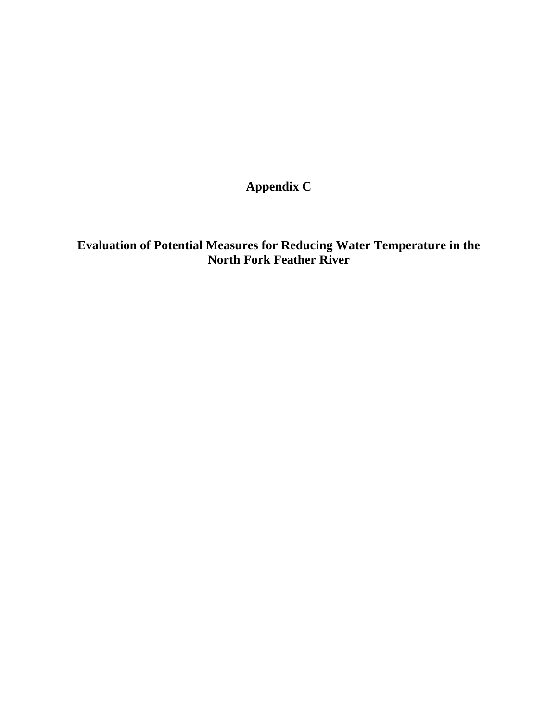**Appendix C** 

**Evaluation of Potential Measures for Reducing Water Temperature in the North Fork Feather River**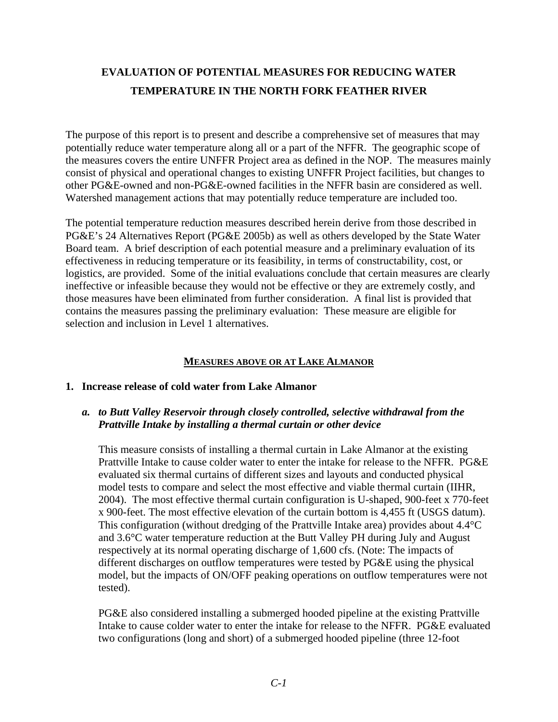# **EVALUATION OF POTENTIAL MEASURES FOR REDUCING WATER TEMPERATURE IN THE NORTH FORK FEATHER RIVER**

The purpose of this report is to present and describe a comprehensive set of measures that may potentially reduce water temperature along all or a part of the NFFR. The geographic scope of the measures covers the entire UNFFR Project area as defined in the NOP. The measures mainly consist of physical and operational changes to existing UNFFR Project facilities, but changes to other PG&E-owned and non-PG&E-owned facilities in the NFFR basin are considered as well. Watershed management actions that may potentially reduce temperature are included too.

The potential temperature reduction measures described herein derive from those described in PG&E's 24 Alternatives Report (PG&E 2005b) as well as others developed by the State Water Board team. A brief description of each potential measure and a preliminary evaluation of its effectiveness in reducing temperature or its feasibility, in terms of constructability, cost, or logistics, are provided. Some of the initial evaluations conclude that certain measures are clearly ineffective or infeasible because they would not be effective or they are extremely costly, and those measures have been eliminated from further consideration. A final list is provided that contains the measures passing the preliminary evaluation: These measure are eligible for selection and inclusion in Level 1 alternatives.

# **MEASURES ABOVE OR AT LAKE ALMANOR**

### **1. Increase release of cold water from Lake Almanor**

### *a. to Butt Valley Reservoir through closely controlled, selective withdrawal from the Prattville Intake by installing a thermal curtain or other device*

This measure consists of installing a thermal curtain in Lake Almanor at the existing Prattville Intake to cause colder water to enter the intake for release to the NFFR. PG&E evaluated six thermal curtains of different sizes and layouts and conducted physical model tests to compare and select the most effective and viable thermal curtain (IIHR, 2004). The most effective thermal curtain configuration is U-shaped, 900-feet x 770-feet x 900-feet. The most effective elevation of the curtain bottom is 4,455 ft (USGS datum). This configuration (without dredging of the Prattville Intake area) provides about 4.4 °C and 3.6°C water temperature reduction at the Butt Valley PH during July and August respectively at its normal operating discharge of 1,600 cfs. (Note: The impacts of different discharges on outflow temperatures were tested by PG&E using the physical model, but the impacts of ON/OFF peaking operations on outflow temperatures were not tested).

PG&E also considered installing a submerged hooded pipeline at the existing Prattville Intake to cause colder water to enter the intake for release to the NFFR. PG&E evaluated two configurations (long and short) of a submerged hooded pipeline (three 12-foot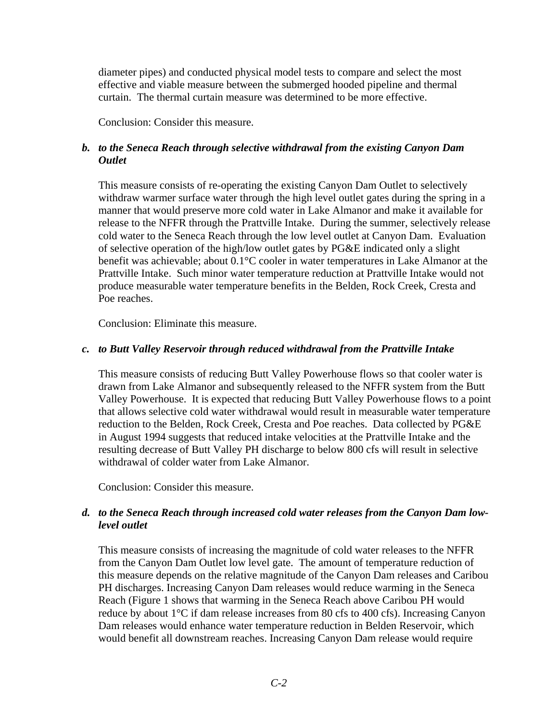diameter pipes) and conducted physical model tests to compare and select the most effective and viable measure between the submerged hooded pipeline and thermal curtain. The thermal curtain measure was determined to be more effective.

Conclusion: Consider this measure.

# *b. to the Seneca Reach through selective withdrawal from the existing Canyon Dam Outlet*

This measure consists of re-operating the existing Canyon Dam Outlet to selectively withdraw warmer surface water through the high level outlet gates during the spring in a manner that would preserve more cold water in Lake Almanor and make it available for release to the NFFR through the Prattville Intake. During the summer, selectively release cold water to the Seneca Reach through the low level outlet at Canyon Dam. Evaluation of selective operation of the high/low outlet gates by PG&E indicated only a slight benefit was achievable; about 0.1°C cooler in water temperatures in Lake Almanor at the Prattville Intake. Such minor water temperature reduction at Prattville Intake would not produce measurable water temperature benefits in the Belden, Rock Creek, Cresta and Poe reaches.

Conclusion: Eliminate this measure.

# *c. to Butt Valley Reservoir through reduced withdrawal from the Prattville Intake*

This measure consists of reducing Butt Valley Powerhouse flows so that cooler water is drawn from Lake Almanor and subsequently released to the NFFR system from the Butt Valley Powerhouse. It is expected that reducing Butt Valley Powerhouse flows to a point that allows selective cold water withdrawal would result in measurable water temperature reduction to the Belden, Rock Creek, Cresta and Poe reaches. Data collected by PG&E in August 1994 suggests that reduced intake velocities at the Prattville Intake and the resulting decrease of Butt Valley PH discharge to below 800 cfs will result in selective withdrawal of colder water from Lake Almanor.

Conclusion: Consider this measure.

# *d. to the Seneca Reach through increased cold water releases from the Canyon Dam lowlevel outlet*

This measure consists of increasing the magnitude of cold water releases to the NFFR from the Canyon Dam Outlet low level gate. The amount of temperature reduction of this measure depends on the relative magnitude of the Canyon Dam releases and Caribou PH discharges. Increasing Canyon Dam releases would reduce warming in the Seneca Reach (Figure 1 shows that warming in the Seneca Reach above Caribou PH would reduce by about 1°C if dam release increases from 80 cfs to 400 cfs). Increasing Canyon Dam releases would enhance water temperature reduction in Belden Reservoir, which would benefit all downstream reaches. Increasing Canyon Dam release would require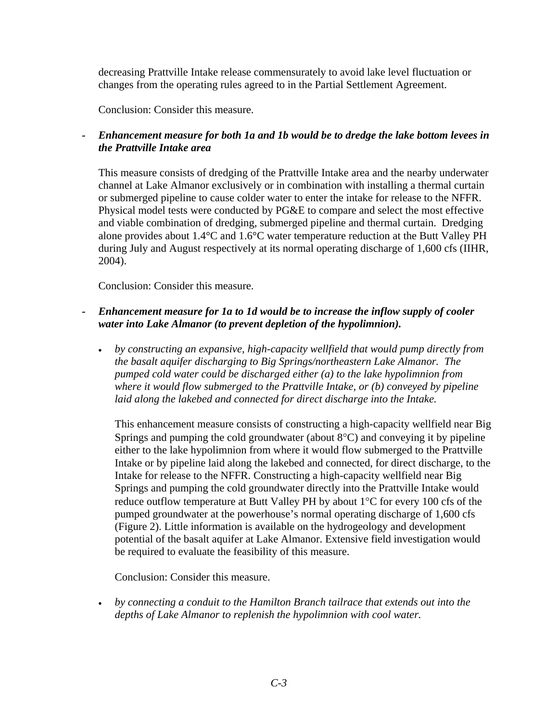decreasing Prattville Intake release commensurately to avoid lake level fluctuation or changes from the operating rules agreed to in the Partial Settlement Agreement.

Conclusion: Consider this measure.

# *- Enhancement measure for both 1a and 1b would be to dredge the lake bottom levees in the Prattville Intake area*

This measure consists of dredging of the Prattville Intake area and the nearby underwater channel at Lake Almanor exclusively or in combination with installing a thermal curtain or submerged pipeline to cause colder water to enter the intake for release to the NFFR. Physical model tests were conducted by PG&E to compare and select the most effective and viable combination of dredging, submerged pipeline and thermal curtain. Dredging alone provides about 1.4°C and 1.6°C water temperature reduction at the Butt Valley PH during July and August respectively at its normal operating discharge of 1,600 cfs (IIHR, 2004).

Conclusion: Consider this measure.

# *- Enhancement measure for 1a to 1d would be to increase the inflow supply of cooler water into Lake Almanor (to prevent depletion of the hypolimnion).*

• *by constructing an expansive, high-capacity wellfield that would pump directly from the basalt aquifer discharging to Big Springs/northeastern Lake Almanor. The pumped cold water could be discharged either (a) to the lake hypolimnion from where it would flow submerged to the Prattville Intake, or (b) conveyed by pipeline laid along the lakebed and connected for direct discharge into the Intake.* 

This enhancement measure consists of constructing a high-capacity wellfield near Big Springs and pumping the cold groundwater (about 8°C) and conveying it by pipeline either to the lake hypolimnion from where it would flow submerged to the Prattville Intake or by pipeline laid along the lakebed and connected, for direct discharge, to the Intake for release to the NFFR. Constructing a high-capacity wellfield near Big Springs and pumping the cold groundwater directly into the Prattville Intake would reduce outflow temperature at Butt Valley PH by about 1°C for every 100 cfs of the pumped groundwater at the powerhouse's normal operating discharge of 1,600 cfs (Figure 2). Little information is available on the hydrogeology and development potential of the basalt aquifer at Lake Almanor. Extensive field investigation would be required to evaluate the feasibility of this measure.

Conclusion: Consider this measure.

• *by connecting a conduit to the Hamilton Branch tailrace that extends out into the depths of Lake Almanor to replenish the hypolimnion with cool water.*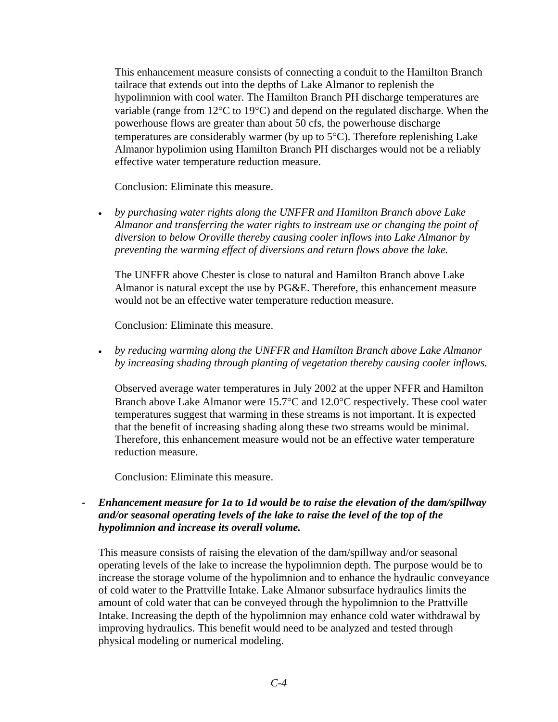This enhancement measure consists of connecting a conduit to the Hamilton Branch tailrace that extends out into the depths of Lake Almanor to replenish the hypolimnion with cool water. The Hamilton Branch PH discharge temperatures are variable (range from 12°C to 19°C) and depend on the regulated discharge. When the powerhouse flows are greater than about 50 cfs, the powerhouse discharge temperatures are considerably warmer (by up to 5°C). Therefore replenishing Lake Almanor hypolimion using Hamilton Branch PH discharges would not be a reliably effective water temperature reduction measure.

Conclusion: Eliminate this measure.

• *by purchasing water rights along the UNFFR and Hamilton Branch above Lake Almanor and transferring the water rights to instream use or changing the point of diversion to below Oroville thereby causing cooler inflows into Lake Almanor by preventing the warming effect of diversions and return flows above the lake.* 

The UNFFR above Chester is close to natural and Hamilton Branch above Lake Almanor is natural except the use by PG&E. Therefore, this enhancement measure would not be an effective water temperature reduction measure.

Conclusion: Eliminate this measure.

• *by reducing warming along the UNFFR and Hamilton Branch above Lake Almanor by increasing shading through planting of vegetation thereby causing cooler inflows.* 

Observed average water temperatures in July 2002 at the upper NFFR and Hamilton Branch above Lake Almanor were 15.7°C and 12.0°C respectively. These cool water temperatures suggest that warming in these streams is not important. It is expected that the benefit of increasing shading along these two streams would be minimal. Therefore, this enhancement measure would not be an effective water temperature reduction measure.

Conclusion: Eliminate this measure.

## *- Enhancement measure for 1a to 1d would be to raise the elevation of the dam/spillway and/or seasonal operating levels of the lake to raise the level of the top of the hypolimnion and increase its overall volume.*

This measure consists of raising the elevation of the dam/spillway and/or seasonal operating levels of the lake to increase the hypolimnion depth. The purpose would be to increase the storage volume of the hypolimnion and to enhance the hydraulic conveyance of cold water to the Prattville Intake. Lake Almanor subsurface hydraulics limits the amount of cold water that can be conveyed through the hypolimnion to the Prattville Intake. Increasing the depth of the hypolimnion may enhance cold water withdrawal by improving hydraulics. This benefit would need to be analyzed and tested through physical modeling or numerical modeling.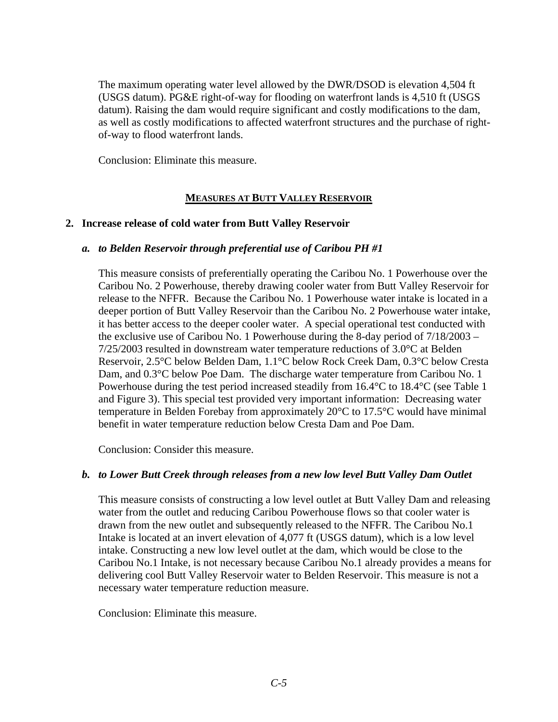The maximum operating water level allowed by the DWR/DSOD is elevation 4,504 ft (USGS datum). PG&E right-of-way for flooding on waterfront lands is 4,510 ft (USGS datum). Raising the dam would require significant and costly modifications to the dam, as well as costly modifications to affected waterfront structures and the purchase of rightof-way to flood waterfront lands.

Conclusion: Eliminate this measure.

# **MEASURES AT BUTT VALLEY RESERVOIR**

### **2. Increase release of cold water from Butt Valley Reservoir**

### *a. to Belden Reservoir through preferential use of Caribou PH #1*

This measure consists of preferentially operating the Caribou No. 1 Powerhouse over the Caribou No. 2 Powerhouse, thereby drawing cooler water from Butt Valley Reservoir for release to the NFFR. Because the Caribou No. 1 Powerhouse water intake is located in a deeper portion of Butt Valley Reservoir than the Caribou No. 2 Powerhouse water intake, it has better access to the deeper cooler water. A special operational test conducted with the exclusive use of Caribou No. 1 Powerhouse during the 8-day period of 7/18/2003 – 7/25/2003 resulted in downstream water temperature reductions of 3.0°C at Belden Reservoir, 2.5°C below Belden Dam, 1.1°C below Rock Creek Dam, 0.3°C below Cresta Dam, and 0.3°C below Poe Dam. The discharge water temperature from Caribou No. 1 Powerhouse during the test period increased steadily from 16.4°C to 18.4°C (see Table 1 and Figure 3). This special test provided very important information: Decreasing water temperature in Belden Forebay from approximately 20°C to 17.5°C would have minimal benefit in water temperature reduction below Cresta Dam and Poe Dam.

Conclusion: Consider this measure.

### *b. to Lower Butt Creek through releases from a new low level Butt Valley Dam Outlet*

This measure consists of constructing a low level outlet at Butt Valley Dam and releasing water from the outlet and reducing Caribou Powerhouse flows so that cooler water is drawn from the new outlet and subsequently released to the NFFR. The Caribou No.1 Intake is located at an invert elevation of 4,077 ft (USGS datum), which is a low level intake. Constructing a new low level outlet at the dam, which would be close to the Caribou No.1 Intake, is not necessary because Caribou No.1 already provides a means for delivering cool Butt Valley Reservoir water to Belden Reservoir. This measure is not a necessary water temperature reduction measure.

Conclusion: Eliminate this measure.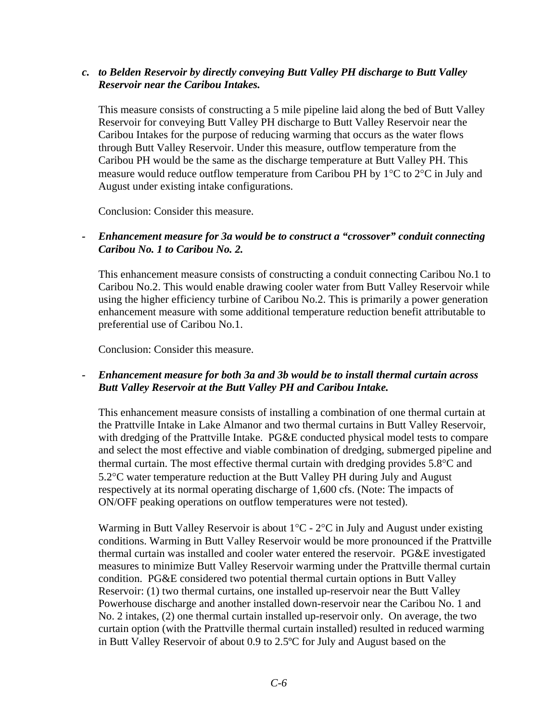## *c. to Belden Reservoir by directly conveying Butt Valley PH discharge to Butt Valley Reservoir near the Caribou Intakes.*

This measure consists of constructing a 5 mile pipeline laid along the bed of Butt Valley Reservoir for conveying Butt Valley PH discharge to Butt Valley Reservoir near the Caribou Intakes for the purpose of reducing warming that occurs as the water flows through Butt Valley Reservoir. Under this measure, outflow temperature from the Caribou PH would be the same as the discharge temperature at Butt Valley PH. This measure would reduce outflow temperature from Caribou PH by 1°C to 2°C in July and August under existing intake configurations.

Conclusion: Consider this measure.

# *- Enhancement measure for 3a would be to construct a "crossover" conduit connecting Caribou No. 1 to Caribou No. 2.*

This enhancement measure consists of constructing a conduit connecting Caribou No.1 to Caribou No.2. This would enable drawing cooler water from Butt Valley Reservoir while using the higher efficiency turbine of Caribou No.2. This is primarily a power generation enhancement measure with some additional temperature reduction benefit attributable to preferential use of Caribou No.1.

Conclusion: Consider this measure.

### *- Enhancement measure for both 3a and 3b would be to install thermal curtain across Butt Valley Reservoir at the Butt Valley PH and Caribou Intake.*

This enhancement measure consists of installing a combination of one thermal curtain at the Prattville Intake in Lake Almanor and two thermal curtains in Butt Valley Reservoir, with dredging of the Prattville Intake. PG&E conducted physical model tests to compare and select the most effective and viable combination of dredging, submerged pipeline and thermal curtain. The most effective thermal curtain with dredging provides 5.8°C and 5.2°C water temperature reduction at the Butt Valley PH during July and August respectively at its normal operating discharge of 1,600 cfs. (Note: The impacts of ON/OFF peaking operations on outflow temperatures were not tested).

Warming in Butt Valley Reservoir is about 1°C - 2°C in July and August under existing conditions. Warming in Butt Valley Reservoir would be more pronounced if the Prattville thermal curtain was installed and cooler water entered the reservoir. PG&E investigated measures to minimize Butt Valley Reservoir warming under the Prattville thermal curtain condition. PG&E considered two potential thermal curtain options in Butt Valley Reservoir: (1) two thermal curtains, one installed up-reservoir near the Butt Valley Powerhouse discharge and another installed down-reservoir near the Caribou No. 1 and No. 2 intakes, (2) one thermal curtain installed up-reservoir only. On average, the two curtain option (with the Prattville thermal curtain installed) resulted in reduced warming in Butt Valley Reservoir of about 0.9 to 2.5ºC for July and August based on the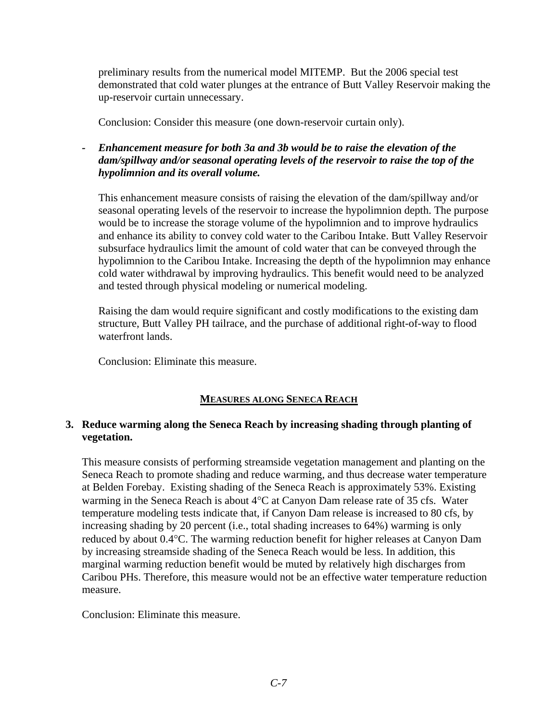preliminary results from the numerical model MITEMP. But the 2006 special test demonstrated that cold water plunges at the entrance of Butt Valley Reservoir making the up-reservoir curtain unnecessary.

Conclusion: Consider this measure (one down-reservoir curtain only).

*- Enhancement measure for both 3a and 3b would be to raise the elevation of the dam/spillway and/or seasonal operating levels of the reservoir to raise the top of the hypolimnion and its overall volume.* 

This enhancement measure consists of raising the elevation of the dam/spillway and/or seasonal operating levels of the reservoir to increase the hypolimnion depth. The purpose would be to increase the storage volume of the hypolimnion and to improve hydraulics and enhance its ability to convey cold water to the Caribou Intake. Butt Valley Reservoir subsurface hydraulics limit the amount of cold water that can be conveyed through the hypolimnion to the Caribou Intake. Increasing the depth of the hypolimnion may enhance cold water withdrawal by improving hydraulics. This benefit would need to be analyzed and tested through physical modeling or numerical modeling.

Raising the dam would require significant and costly modifications to the existing dam structure, Butt Valley PH tailrace, and the purchase of additional right-of-way to flood waterfront lands.

Conclusion: Eliminate this measure.

# **MEASURES ALONG SENECA REACH**

# **3. Reduce warming along the Seneca Reach by increasing shading through planting of vegetation.**

This measure consists of performing streamside vegetation management and planting on the Seneca Reach to promote shading and reduce warming, and thus decrease water temperature at Belden Forebay. Existing shading of the Seneca Reach is approximately 53%. Existing warming in the Seneca Reach is about 4°C at Canyon Dam release rate of 35 cfs. Water temperature modeling tests indicate that, if Canyon Dam release is increased to 80 cfs, by increasing shading by 20 percent (i.e., total shading increases to 64%) warming is only reduced by about 0.4°C. The warming reduction benefit for higher releases at Canyon Dam by increasing streamside shading of the Seneca Reach would be less. In addition, this marginal warming reduction benefit would be muted by relatively high discharges from Caribou PHs. Therefore, this measure would not be an effective water temperature reduction measure.

Conclusion: Eliminate this measure.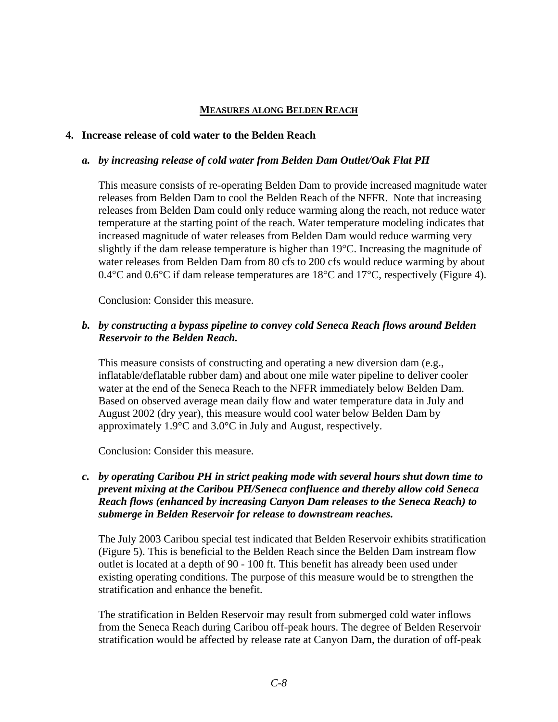### **MEASURES ALONG BELDEN REACH**

#### **4. Increase release of cold water to the Belden Reach**

### *a. by increasing release of cold water from Belden Dam Outlet/Oak Flat PH*

This measure consists of re-operating Belden Dam to provide increased magnitude water releases from Belden Dam to cool the Belden Reach of the NFFR. Note that increasing releases from Belden Dam could only reduce warming along the reach, not reduce water temperature at the starting point of the reach. Water temperature modeling indicates that increased magnitude of water releases from Belden Dam would reduce warming very slightly if the dam release temperature is higher than 19°C. Increasing the magnitude of water releases from Belden Dam from 80 cfs to 200 cfs would reduce warming by about 0.4 $\rm{°C}$  and 0.6 $\rm{°C}$  if dam release temperatures are 18 $\rm{°C}$  and 17 $\rm{°C}$ , respectively (Figure 4).

Conclusion: Consider this measure.

### *b. by constructing a bypass pipeline to convey cold Seneca Reach flows around Belden Reservoir to the Belden Reach.*

This measure consists of constructing and operating a new diversion dam (e.g., inflatable/deflatable rubber dam) and about one mile water pipeline to deliver cooler water at the end of the Seneca Reach to the NFFR immediately below Belden Dam. Based on observed average mean daily flow and water temperature data in July and August 2002 (dry year), this measure would cool water below Belden Dam by approximately 1.9°C and 3.0°C in July and August, respectively.

Conclusion: Consider this measure.

# *c. by operating Caribou PH in strict peaking mode with several hours shut down time to prevent mixing at the Caribou PH/Seneca confluence and thereby allow cold Seneca Reach flows (enhanced by increasing Canyon Dam releases to the Seneca Reach) to submerge in Belden Reservoir for release to downstream reaches.*

The July 2003 Caribou special test indicated that Belden Reservoir exhibits stratification (Figure 5). This is beneficial to the Belden Reach since the Belden Dam instream flow outlet is located at a depth of 90 - 100 ft. This benefit has already been used under existing operating conditions. The purpose of this measure would be to strengthen the stratification and enhance the benefit.

The stratification in Belden Reservoir may result from submerged cold water inflows from the Seneca Reach during Caribou off-peak hours. The degree of Belden Reservoir stratification would be affected by release rate at Canyon Dam, the duration of off-peak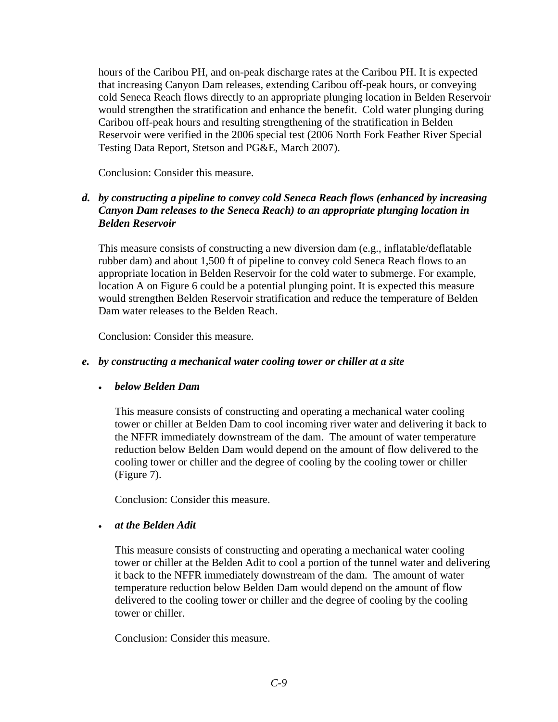hours of the Caribou PH, and on-peak discharge rates at the Caribou PH. It is expected that increasing Canyon Dam releases, extending Caribou off-peak hours, or conveying cold Seneca Reach flows directly to an appropriate plunging location in Belden Reservoir would strengthen the stratification and enhance the benefit. Cold water plunging during Caribou off-peak hours and resulting strengthening of the stratification in Belden Reservoir were verified in the 2006 special test (2006 North Fork Feather River Special Testing Data Report, Stetson and PG&E, March 2007).

Conclusion: Consider this measure.

# *d. by constructing a pipeline to convey cold Seneca Reach flows (enhanced by increasing Canyon Dam releases to the Seneca Reach) to an appropriate plunging location in Belden Reservoir*

This measure consists of constructing a new diversion dam (e.g., inflatable/deflatable rubber dam) and about 1,500 ft of pipeline to convey cold Seneca Reach flows to an appropriate location in Belden Reservoir for the cold water to submerge. For example, location A on Figure 6 could be a potential plunging point. It is expected this measure would strengthen Belden Reservoir stratification and reduce the temperature of Belden Dam water releases to the Belden Reach.

Conclusion: Consider this measure.

### *e. by constructing a mechanical water cooling tower or chiller at a site*

### • *below Belden Dam*

This measure consists of constructing and operating a mechanical water cooling tower or chiller at Belden Dam to cool incoming river water and delivering it back to the NFFR immediately downstream of the dam. The amount of water temperature reduction below Belden Dam would depend on the amount of flow delivered to the cooling tower or chiller and the degree of cooling by the cooling tower or chiller (Figure 7).

Conclusion: Consider this measure.

# • *at the Belden Adit*

This measure consists of constructing and operating a mechanical water cooling tower or chiller at the Belden Adit to cool a portion of the tunnel water and delivering it back to the NFFR immediately downstream of the dam. The amount of water temperature reduction below Belden Dam would depend on the amount of flow delivered to the cooling tower or chiller and the degree of cooling by the cooling tower or chiller.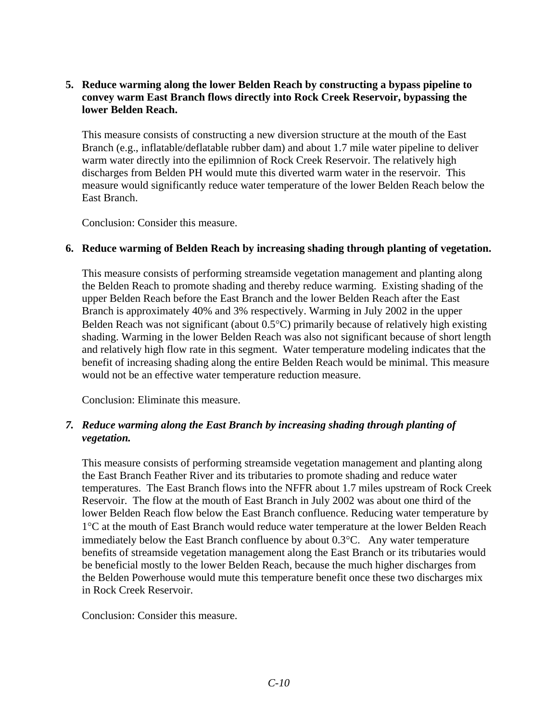# **5. Reduce warming along the lower Belden Reach by constructing a bypass pipeline to convey warm East Branch flows directly into Rock Creek Reservoir, bypassing the lower Belden Reach.**

This measure consists of constructing a new diversion structure at the mouth of the East Branch (e.g., inflatable/deflatable rubber dam) and about 1.7 mile water pipeline to deliver warm water directly into the epilimnion of Rock Creek Reservoir. The relatively high discharges from Belden PH would mute this diverted warm water in the reservoir. This measure would significantly reduce water temperature of the lower Belden Reach below the East Branch.

Conclusion: Consider this measure.

### **6. Reduce warming of Belden Reach by increasing shading through planting of vegetation.**

This measure consists of performing streamside vegetation management and planting along the Belden Reach to promote shading and thereby reduce warming. Existing shading of the upper Belden Reach before the East Branch and the lower Belden Reach after the East Branch is approximately 40% and 3% respectively. Warming in July 2002 in the upper Belden Reach was not significant (about 0.5°C) primarily because of relatively high existing shading. Warming in the lower Belden Reach was also not significant because of short length and relatively high flow rate in this segment. Water temperature modeling indicates that the benefit of increasing shading along the entire Belden Reach would be minimal. This measure would not be an effective water temperature reduction measure.

Conclusion: Eliminate this measure.

# *7. Reduce warming along the East Branch by increasing shading through planting of vegetation.*

This measure consists of performing streamside vegetation management and planting along the East Branch Feather River and its tributaries to promote shading and reduce water temperatures. The East Branch flows into the NFFR about 1.7 miles upstream of Rock Creek Reservoir. The flow at the mouth of East Branch in July 2002 was about one third of the lower Belden Reach flow below the East Branch confluence. Reducing water temperature by 1°C at the mouth of East Branch would reduce water temperature at the lower Belden Reach immediately below the East Branch confluence by about 0.3°C. Any water temperature benefits of streamside vegetation management along the East Branch or its tributaries would be beneficial mostly to the lower Belden Reach, because the much higher discharges from the Belden Powerhouse would mute this temperature benefit once these two discharges mix in Rock Creek Reservoir.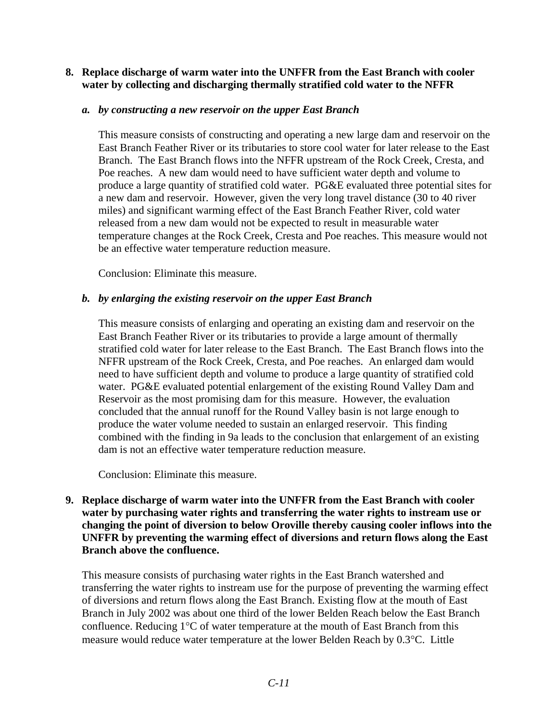### **8. Replace discharge of warm water into the UNFFR from the East Branch with cooler water by collecting and discharging thermally stratified cold water to the NFFR**

### *a. by constructing a new reservoir on the upper East Branch*

This measure consists of constructing and operating a new large dam and reservoir on the East Branch Feather River or its tributaries to store cool water for later release to the East Branch. The East Branch flows into the NFFR upstream of the Rock Creek, Cresta, and Poe reaches. A new dam would need to have sufficient water depth and volume to produce a large quantity of stratified cold water. PG&E evaluated three potential sites for a new dam and reservoir. However, given the very long travel distance (30 to 40 river miles) and significant warming effect of the East Branch Feather River, cold water released from a new dam would not be expected to result in measurable water temperature changes at the Rock Creek, Cresta and Poe reaches. This measure would not be an effective water temperature reduction measure.

Conclusion: Eliminate this measure.

### *b. by enlarging the existing reservoir on the upper East Branch*

This measure consists of enlarging and operating an existing dam and reservoir on the East Branch Feather River or its tributaries to provide a large amount of thermally stratified cold water for later release to the East Branch. The East Branch flows into the NFFR upstream of the Rock Creek, Cresta, and Poe reaches. An enlarged dam would need to have sufficient depth and volume to produce a large quantity of stratified cold water. PG&E evaluated potential enlargement of the existing Round Valley Dam and Reservoir as the most promising dam for this measure. However, the evaluation concluded that the annual runoff for the Round Valley basin is not large enough to produce the water volume needed to sustain an enlarged reservoir. This finding combined with the finding in 9a leads to the conclusion that enlargement of an existing dam is not an effective water temperature reduction measure.

Conclusion: Eliminate this measure.

# **9. Replace discharge of warm water into the UNFFR from the East Branch with cooler water by purchasing water rights and transferring the water rights to instream use or changing the point of diversion to below Oroville thereby causing cooler inflows into the UNFFR by preventing the warming effect of diversions and return flows along the East Branch above the confluence.**

This measure consists of purchasing water rights in the East Branch watershed and transferring the water rights to instream use for the purpose of preventing the warming effect of diversions and return flows along the East Branch. Existing flow at the mouth of East Branch in July 2002 was about one third of the lower Belden Reach below the East Branch confluence. Reducing 1°C of water temperature at the mouth of East Branch from this measure would reduce water temperature at the lower Belden Reach by 0.3°C. Little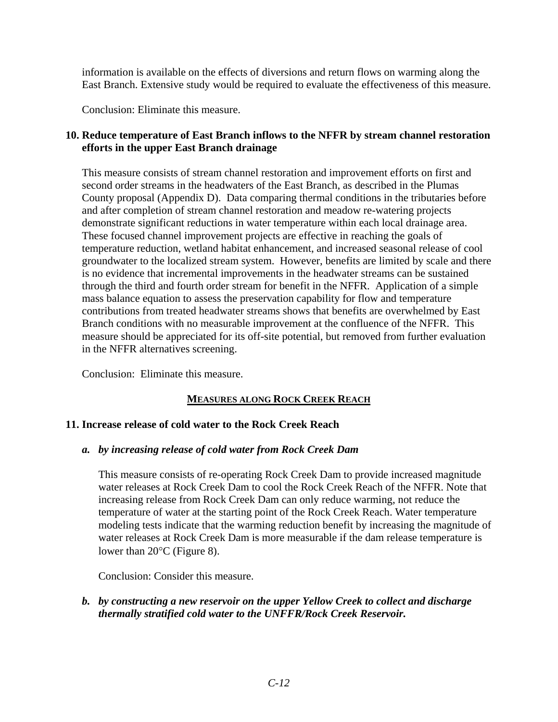information is available on the effects of diversions and return flows on warming along the East Branch. Extensive study would be required to evaluate the effectiveness of this measure.

Conclusion: Eliminate this measure.

# **10. Reduce temperature of East Branch inflows to the NFFR by stream channel restoration efforts in the upper East Branch drainage**

 This measure consists of stream channel restoration and improvement efforts on first and second order streams in the headwaters of the East Branch, as described in the Plumas County proposal (Appendix D). Data comparing thermal conditions in the tributaries before and after completion of stream channel restoration and meadow re-watering projects demonstrate significant reductions in water temperature within each local drainage area. These focused channel improvement projects are effective in reaching the goals of temperature reduction, wetland habitat enhancement, and increased seasonal release of cool groundwater to the localized stream system. However, benefits are limited by scale and there is no evidence that incremental improvements in the headwater streams can be sustained through the third and fourth order stream for benefit in the NFFR. Application of a simple mass balance equation to assess the preservation capability for flow and temperature contributions from treated headwater streams shows that benefits are overwhelmed by East Branch conditions with no measurable improvement at the confluence of the NFFR. This measure should be appreciated for its off-site potential, but removed from further evaluation in the NFFR alternatives screening.

Conclusion: Eliminate this measure.

# **MEASURES ALONG ROCK CREEK REACH**

# **11. Increase release of cold water to the Rock Creek Reach**

### *a. by increasing release of cold water from Rock Creek Dam*

This measure consists of re-operating Rock Creek Dam to provide increased magnitude water releases at Rock Creek Dam to cool the Rock Creek Reach of the NFFR. Note that increasing release from Rock Creek Dam can only reduce warming, not reduce the temperature of water at the starting point of the Rock Creek Reach. Water temperature modeling tests indicate that the warming reduction benefit by increasing the magnitude of water releases at Rock Creek Dam is more measurable if the dam release temperature is lower than 20°C (Figure 8).

Conclusion: Consider this measure.

### *b. by constructing a new reservoir on the upper Yellow Creek to collect and discharge thermally stratified cold water to the UNFFR/Rock Creek Reservoir.*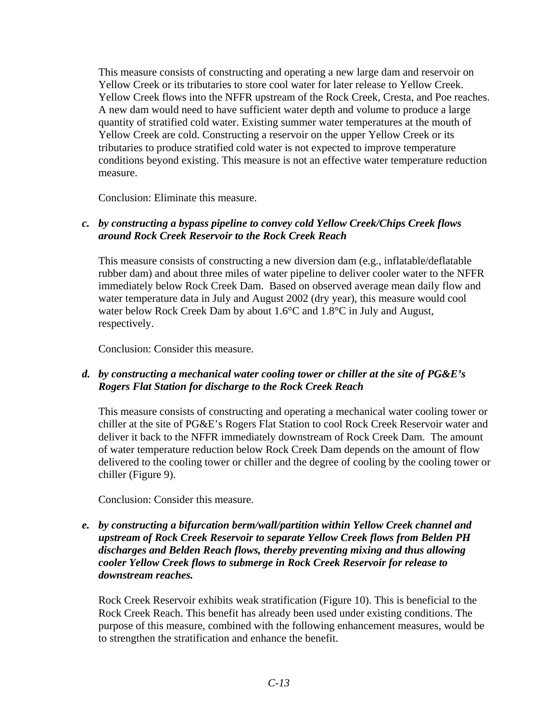This measure consists of constructing and operating a new large dam and reservoir on Yellow Creek or its tributaries to store cool water for later release to Yellow Creek. Yellow Creek flows into the NFFR upstream of the Rock Creek, Cresta, and Poe reaches. A new dam would need to have sufficient water depth and volume to produce a large quantity of stratified cold water. Existing summer water temperatures at the mouth of Yellow Creek are cold. Constructing a reservoir on the upper Yellow Creek or its tributaries to produce stratified cold water is not expected to improve temperature conditions beyond existing. This measure is not an effective water temperature reduction measure.

Conclusion: Eliminate this measure.

# *c. by constructing a bypass pipeline to convey cold Yellow Creek/Chips Creek flows around Rock Creek Reservoir to the Rock Creek Reach*

This measure consists of constructing a new diversion dam (e.g., inflatable/deflatable rubber dam) and about three miles of water pipeline to deliver cooler water to the NFFR immediately below Rock Creek Dam. Based on observed average mean daily flow and water temperature data in July and August 2002 (dry year), this measure would cool water below Rock Creek Dam by about 1.6°C and 1.8°C in July and August, respectively.

Conclusion: Consider this measure.

# *d. by constructing a mechanical water cooling tower or chiller at the site of PG&E's Rogers Flat Station for discharge to the Rock Creek Reach*

This measure consists of constructing and operating a mechanical water cooling tower or chiller at the site of PG&E's Rogers Flat Station to cool Rock Creek Reservoir water and deliver it back to the NFFR immediately downstream of Rock Creek Dam. The amount of water temperature reduction below Rock Creek Dam depends on the amount of flow delivered to the cooling tower or chiller and the degree of cooling by the cooling tower or chiller (Figure 9).

Conclusion: Consider this measure.

# *e. by constructing a bifurcation berm/wall/partition within Yellow Creek channel and upstream of Rock Creek Reservoir to separate Yellow Creek flows from Belden PH discharges and Belden Reach flows, thereby preventing mixing and thus allowing cooler Yellow Creek flows to submerge in Rock Creek Reservoir for release to downstream reaches.*

Rock Creek Reservoir exhibits weak stratification (Figure 10). This is beneficial to the Rock Creek Reach. This benefit has already been used under existing conditions. The purpose of this measure, combined with the following enhancement measures, would be to strengthen the stratification and enhance the benefit.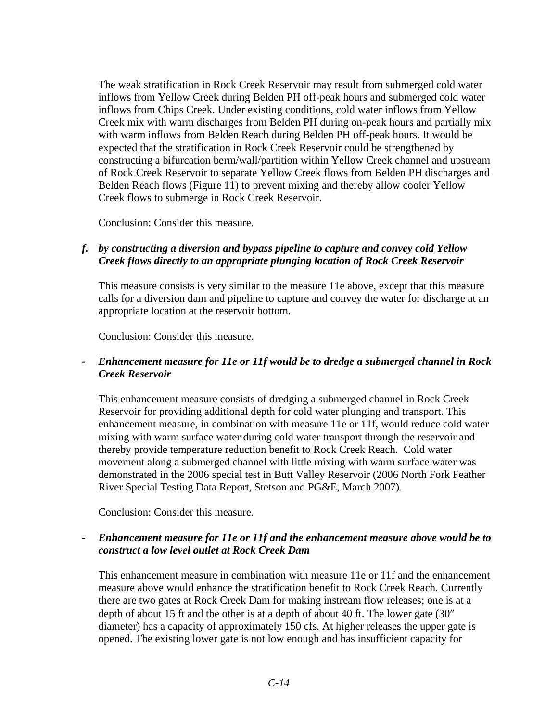The weak stratification in Rock Creek Reservoir may result from submerged cold water inflows from Yellow Creek during Belden PH off-peak hours and submerged cold water inflows from Chips Creek. Under existing conditions, cold water inflows from Yellow Creek mix with warm discharges from Belden PH during on-peak hours and partially mix with warm inflows from Belden Reach during Belden PH off-peak hours. It would be expected that the stratification in Rock Creek Reservoir could be strengthened by constructing a bifurcation berm/wall/partition within Yellow Creek channel and upstream of Rock Creek Reservoir to separate Yellow Creek flows from Belden PH discharges and Belden Reach flows (Figure 11) to prevent mixing and thereby allow cooler Yellow Creek flows to submerge in Rock Creek Reservoir.

Conclusion: Consider this measure.

# *f. by constructing a diversion and bypass pipeline to capture and convey cold Yellow Creek flows directly to an appropriate plunging location of Rock Creek Reservoir*

This measure consists is very similar to the measure 11e above, except that this measure calls for a diversion dam and pipeline to capture and convey the water for discharge at an appropriate location at the reservoir bottom.

Conclusion: Consider this measure.

## *- Enhancement measure for 11e or 11f would be to dredge a submerged channel in Rock Creek Reservoir*

This enhancement measure consists of dredging a submerged channel in Rock Creek Reservoir for providing additional depth for cold water plunging and transport. This enhancement measure, in combination with measure 11e or 11f, would reduce cold water mixing with warm surface water during cold water transport through the reservoir and thereby provide temperature reduction benefit to Rock Creek Reach. Cold water movement along a submerged channel with little mixing with warm surface water was demonstrated in the 2006 special test in Butt Valley Reservoir (2006 North Fork Feather River Special Testing Data Report, Stetson and PG&E, March 2007).

Conclusion: Consider this measure.

### *- Enhancement measure for 11e or 11f and the enhancement measure above would be to construct a low level outlet at Rock Creek Dam*

This enhancement measure in combination with measure 11e or 11f and the enhancement measure above would enhance the stratification benefit to Rock Creek Reach. Currently there are two gates at Rock Creek Dam for making instream flow releases; one is at a depth of about 15 ft and the other is at a depth of about 40 ft. The lower gate (30″ diameter) has a capacity of approximately 150 cfs. At higher releases the upper gate is opened. The existing lower gate is not low enough and has insufficient capacity for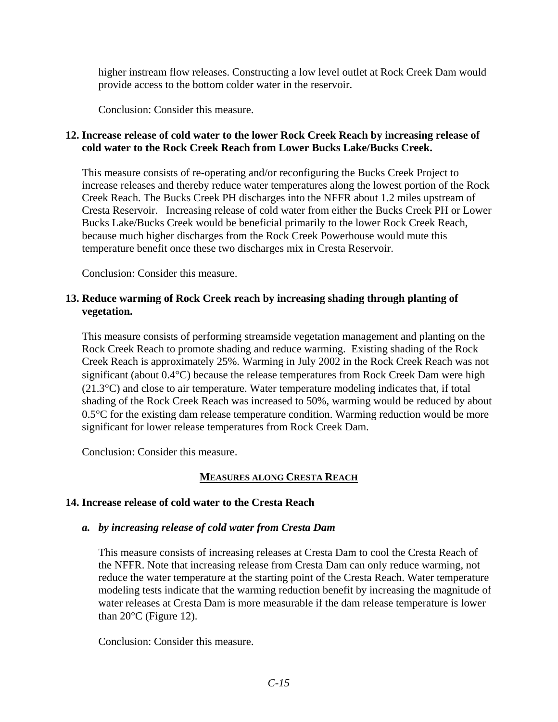higher instream flow releases. Constructing a low level outlet at Rock Creek Dam would provide access to the bottom colder water in the reservoir.

Conclusion: Consider this measure.

# **12. Increase release of cold water to the lower Rock Creek Reach by increasing release of cold water to the Rock Creek Reach from Lower Bucks Lake/Bucks Creek.**

This measure consists of re-operating and/or reconfiguring the Bucks Creek Project to increase releases and thereby reduce water temperatures along the lowest portion of the Rock Creek Reach. The Bucks Creek PH discharges into the NFFR about 1.2 miles upstream of Cresta Reservoir. Increasing release of cold water from either the Bucks Creek PH or Lower Bucks Lake/Bucks Creek would be beneficial primarily to the lower Rock Creek Reach, because much higher discharges from the Rock Creek Powerhouse would mute this temperature benefit once these two discharges mix in Cresta Reservoir.

Conclusion: Consider this measure.

# **13. Reduce warming of Rock Creek reach by increasing shading through planting of vegetation.**

This measure consists of performing streamside vegetation management and planting on the Rock Creek Reach to promote shading and reduce warming. Existing shading of the Rock Creek Reach is approximately 25%. Warming in July 2002 in the Rock Creek Reach was not significant (about 0.4°C) because the release temperatures from Rock Creek Dam were high (21.3°C) and close to air temperature. Water temperature modeling indicates that, if total shading of the Rock Creek Reach was increased to 50%, warming would be reduced by about 0.5°C for the existing dam release temperature condition. Warming reduction would be more significant for lower release temperatures from Rock Creek Dam.

Conclusion: Consider this measure.

# **MEASURES ALONG CRESTA REACH**

# **14. Increase release of cold water to the Cresta Reach**

# *a. by increasing release of cold water from Cresta Dam*

This measure consists of increasing releases at Cresta Dam to cool the Cresta Reach of the NFFR. Note that increasing release from Cresta Dam can only reduce warming, not reduce the water temperature at the starting point of the Cresta Reach. Water temperature modeling tests indicate that the warming reduction benefit by increasing the magnitude of water releases at Cresta Dam is more measurable if the dam release temperature is lower than  $20^{\circ}$ C (Figure 12).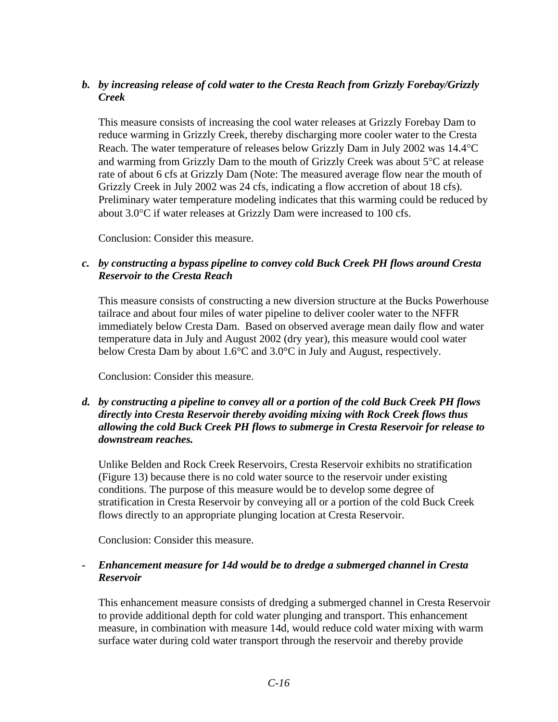# *b. by increasing release of cold water to the Cresta Reach from Grizzly Forebay/Grizzly Creek*

This measure consists of increasing the cool water releases at Grizzly Forebay Dam to reduce warming in Grizzly Creek, thereby discharging more cooler water to the Cresta Reach. The water temperature of releases below Grizzly Dam in July 2002 was 14.4°C and warming from Grizzly Dam to the mouth of Grizzly Creek was about 5°C at release rate of about 6 cfs at Grizzly Dam (Note: The measured average flow near the mouth of Grizzly Creek in July 2002 was 24 cfs, indicating a flow accretion of about 18 cfs). Preliminary water temperature modeling indicates that this warming could be reduced by about 3.0°C if water releases at Grizzly Dam were increased to 100 cfs.

Conclusion: Consider this measure.

# *c. by constructing a bypass pipeline to convey cold Buck Creek PH flows around Cresta Reservoir to the Cresta Reach*

This measure consists of constructing a new diversion structure at the Bucks Powerhouse tailrace and about four miles of water pipeline to deliver cooler water to the NFFR immediately below Cresta Dam. Based on observed average mean daily flow and water temperature data in July and August 2002 (dry year), this measure would cool water below Cresta Dam by about 1.6°C and 3.0°C in July and August, respectively.

Conclusion: Consider this measure.

# *d. by constructing a pipeline to convey all or a portion of the cold Buck Creek PH flows directly into Cresta Reservoir thereby avoiding mixing with Rock Creek flows thus allowing the cold Buck Creek PH flows to submerge in Cresta Reservoir for release to downstream reaches.*

Unlike Belden and Rock Creek Reservoirs, Cresta Reservoir exhibits no stratification (Figure 13) because there is no cold water source to the reservoir under existing conditions. The purpose of this measure would be to develop some degree of stratification in Cresta Reservoir by conveying all or a portion of the cold Buck Creek flows directly to an appropriate plunging location at Cresta Reservoir.

Conclusion: Consider this measure.

### *- Enhancement measure for 14d would be to dredge a submerged channel in Cresta Reservoir*

This enhancement measure consists of dredging a submerged channel in Cresta Reservoir to provide additional depth for cold water plunging and transport. This enhancement measure, in combination with measure 14d, would reduce cold water mixing with warm surface water during cold water transport through the reservoir and thereby provide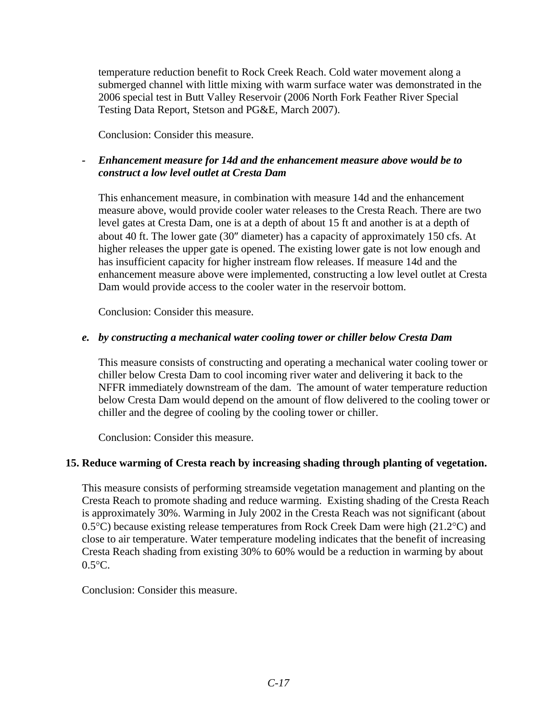temperature reduction benefit to Rock Creek Reach. Cold water movement along a submerged channel with little mixing with warm surface water was demonstrated in the 2006 special test in Butt Valley Reservoir (2006 North Fork Feather River Special Testing Data Report, Stetson and PG&E, March 2007).

Conclusion: Consider this measure.

# *- Enhancement measure for 14d and the enhancement measure above would be to construct a low level outlet at Cresta Dam*

This enhancement measure, in combination with measure 14d and the enhancement measure above, would provide cooler water releases to the Cresta Reach. There are two level gates at Cresta Dam, one is at a depth of about 15 ft and another is at a depth of about 40 ft. The lower gate (30″ diameter) has a capacity of approximately 150 cfs. At higher releases the upper gate is opened. The existing lower gate is not low enough and has insufficient capacity for higher instream flow releases. If measure 14d and the enhancement measure above were implemented, constructing a low level outlet at Cresta Dam would provide access to the cooler water in the reservoir bottom.

Conclusion: Consider this measure.

### *e. by constructing a mechanical water cooling tower or chiller below Cresta Dam*

This measure consists of constructing and operating a mechanical water cooling tower or chiller below Cresta Dam to cool incoming river water and delivering it back to the NFFR immediately downstream of the dam. The amount of water temperature reduction below Cresta Dam would depend on the amount of flow delivered to the cooling tower or chiller and the degree of cooling by the cooling tower or chiller.

Conclusion: Consider this measure.

# **15. Reduce warming of Cresta reach by increasing shading through planting of vegetation.**

This measure consists of performing streamside vegetation management and planting on the Cresta Reach to promote shading and reduce warming. Existing shading of the Cresta Reach is approximately 30%. Warming in July 2002 in the Cresta Reach was not significant (about 0.5°C) because existing release temperatures from Rock Creek Dam were high (21.2°C) and close to air temperature. Water temperature modeling indicates that the benefit of increasing Cresta Reach shading from existing 30% to 60% would be a reduction in warming by about  $0.5^{\circ}$ C.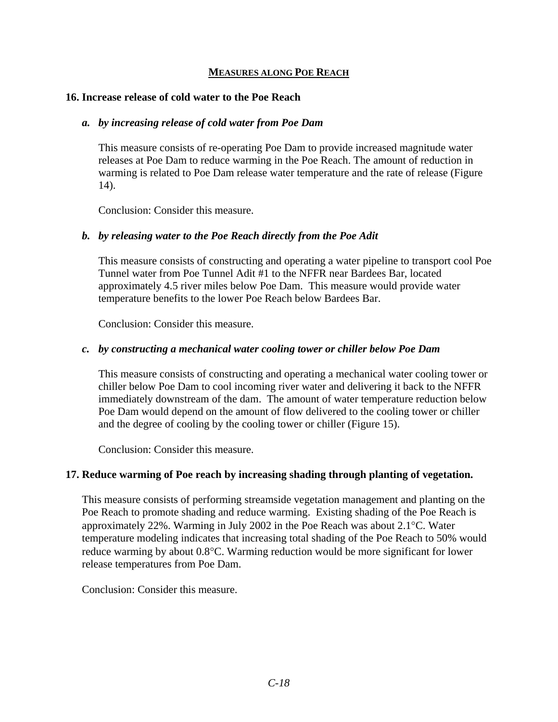### **MEASURES ALONG POE REACH**

### **16. Increase release of cold water to the Poe Reach**

### *a. by increasing release of cold water from Poe Dam*

This measure consists of re-operating Poe Dam to provide increased magnitude water releases at Poe Dam to reduce warming in the Poe Reach. The amount of reduction in warming is related to Poe Dam release water temperature and the rate of release (Figure 14).

Conclusion: Consider this measure.

### *b. by releasing water to the Poe Reach directly from the Poe Adit*

This measure consists of constructing and operating a water pipeline to transport cool Poe Tunnel water from Poe Tunnel Adit #1 to the NFFR near Bardees Bar, located approximately 4.5 river miles below Poe Dam. This measure would provide water temperature benefits to the lower Poe Reach below Bardees Bar.

Conclusion: Consider this measure.

### *c. by constructing a mechanical water cooling tower or chiller below Poe Dam*

This measure consists of constructing and operating a mechanical water cooling tower or chiller below Poe Dam to cool incoming river water and delivering it back to the NFFR immediately downstream of the dam. The amount of water temperature reduction below Poe Dam would depend on the amount of flow delivered to the cooling tower or chiller and the degree of cooling by the cooling tower or chiller (Figure 15).

Conclusion: Consider this measure.

### **17. Reduce warming of Poe reach by increasing shading through planting of vegetation.**

This measure consists of performing streamside vegetation management and planting on the Poe Reach to promote shading and reduce warming. Existing shading of the Poe Reach is approximately 22%. Warming in July 2002 in the Poe Reach was about 2.1°C. Water temperature modeling indicates that increasing total shading of the Poe Reach to 50% would reduce warming by about 0.8°C. Warming reduction would be more significant for lower release temperatures from Poe Dam.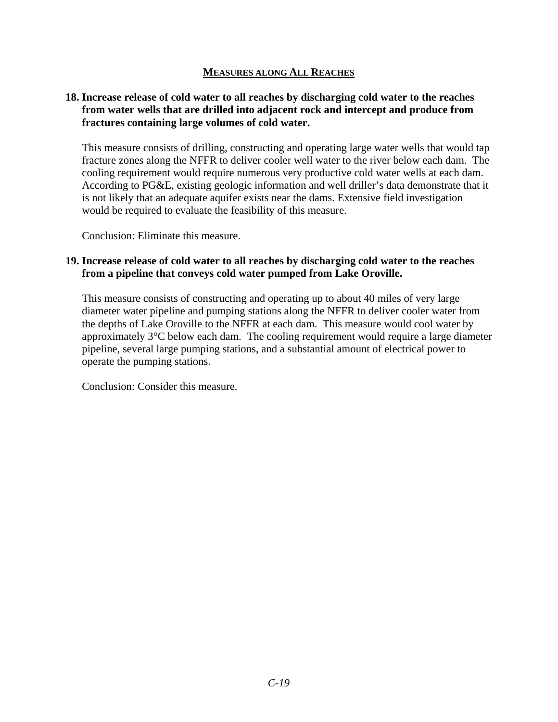### **MEASURES ALONG ALL REACHES**

### **18. Increase release of cold water to all reaches by discharging cold water to the reaches from water wells that are drilled into adjacent rock and intercept and produce from fractures containing large volumes of cold water.**

This measure consists of drilling, constructing and operating large water wells that would tap fracture zones along the NFFR to deliver cooler well water to the river below each dam. The cooling requirement would require numerous very productive cold water wells at each dam. According to PG&E, existing geologic information and well driller's data demonstrate that it is not likely that an adequate aquifer exists near the dams. Extensive field investigation would be required to evaluate the feasibility of this measure.

Conclusion: Eliminate this measure.

### **19. Increase release of cold water to all reaches by discharging cold water to the reaches from a pipeline that conveys cold water pumped from Lake Oroville.**

This measure consists of constructing and operating up to about 40 miles of very large diameter water pipeline and pumping stations along the NFFR to deliver cooler water from the depths of Lake Oroville to the NFFR at each dam. This measure would cool water by approximately 3°C below each dam. The cooling requirement would require a large diameter pipeline, several large pumping stations, and a substantial amount of electrical power to operate the pumping stations.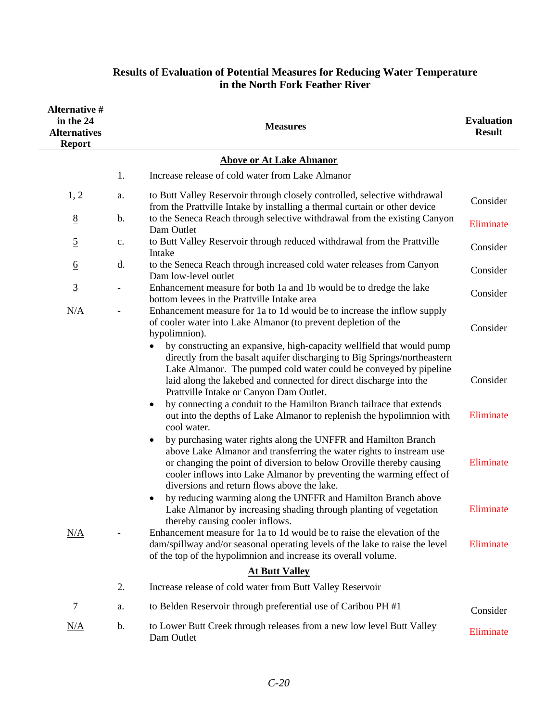| <b>Alternative #</b><br>in the 24<br><b>Alternatives</b><br><b>Report</b> |                          | <b>Measures</b>                                                                                                                                                                                                                                                                                                                                                                                                                                                                                         | <b>Evaluation</b><br><b>Result</b> |
|---------------------------------------------------------------------------|--------------------------|---------------------------------------------------------------------------------------------------------------------------------------------------------------------------------------------------------------------------------------------------------------------------------------------------------------------------------------------------------------------------------------------------------------------------------------------------------------------------------------------------------|------------------------------------|
|                                                                           |                          | <b>Above or At Lake Almanor</b>                                                                                                                                                                                                                                                                                                                                                                                                                                                                         |                                    |
|                                                                           | 1.                       | Increase release of cold water from Lake Almanor                                                                                                                                                                                                                                                                                                                                                                                                                                                        |                                    |
| 1, 2                                                                      | a.                       | to Butt Valley Reservoir through closely controlled, selective withdrawal<br>from the Prattville Intake by installing a thermal curtain or other device                                                                                                                                                                                                                                                                                                                                                 | Consider                           |
| 8                                                                         | b.                       | to the Seneca Reach through selective withdrawal from the existing Canyon<br>Dam Outlet                                                                                                                                                                                                                                                                                                                                                                                                                 | Eliminate                          |
| $\overline{5}$                                                            | $\mathbf{c}$ .           | to Butt Valley Reservoir through reduced withdrawal from the Prattville<br>Intake                                                                                                                                                                                                                                                                                                                                                                                                                       | Consider                           |
| $6\overline{6}$                                                           | d.                       | to the Seneca Reach through increased cold water releases from Canyon<br>Dam low-level outlet                                                                                                                                                                                                                                                                                                                                                                                                           | Consider                           |
| $\overline{3}$                                                            | $\overline{\phantom{a}}$ | Enhancement measure for both 1a and 1b would be to dredge the lake<br>bottom levees in the Prattville Intake area                                                                                                                                                                                                                                                                                                                                                                                       | Consider                           |
| N/A                                                                       |                          | Enhancement measure for 1a to 1d would be to increase the inflow supply<br>of cooler water into Lake Almanor (to prevent depletion of the<br>hypolimnion).                                                                                                                                                                                                                                                                                                                                              | Consider                           |
|                                                                           |                          | by constructing an expansive, high-capacity wellfield that would pump<br>directly from the basalt aquifer discharging to Big Springs/northeastern<br>Lake Almanor. The pumped cold water could be conveyed by pipeline<br>laid along the lakebed and connected for direct discharge into the<br>Prattville Intake or Canyon Dam Outlet.<br>by connecting a conduit to the Hamilton Branch tailrace that extends<br>out into the depths of Lake Almanor to replenish the hypolimnion with<br>cool water. | Consider<br>Eliminate              |
|                                                                           |                          | by purchasing water rights along the UNFFR and Hamilton Branch<br>above Lake Almanor and transferring the water rights to instream use<br>or changing the point of diversion to below Oroville thereby causing<br>cooler inflows into Lake Almanor by preventing the warming effect of<br>diversions and return flows above the lake.                                                                                                                                                                   | Eliminate                          |
|                                                                           |                          | by reducing warming along the UNFFR and Hamilton Branch above<br>Lake Almanor by increasing shading through planting of vegetation<br>thereby causing cooler inflows.                                                                                                                                                                                                                                                                                                                                   | Eliminate                          |
| N/A                                                                       |                          | Enhancement measure for 1a to 1d would be to raise the elevation of the<br>dam/spillway and/or seasonal operating levels of the lake to raise the level<br>of the top of the hypolimnion and increase its overall volume.                                                                                                                                                                                                                                                                               | Eliminate                          |
|                                                                           |                          | <b>At Butt Valley</b>                                                                                                                                                                                                                                                                                                                                                                                                                                                                                   |                                    |
|                                                                           | 2.                       | Increase release of cold water from Butt Valley Reservoir                                                                                                                                                                                                                                                                                                                                                                                                                                               |                                    |
| $\overline{1}$                                                            | a.                       | to Belden Reservoir through preferential use of Caribou PH #1                                                                                                                                                                                                                                                                                                                                                                                                                                           | Consider                           |
| N/A                                                                       | b.                       | to Lower Butt Creek through releases from a new low level Butt Valley<br>Dam Outlet                                                                                                                                                                                                                                                                                                                                                                                                                     | Eliminate                          |

# **Results of Evaluation of Potential Measures for Reducing Water Temperature in the North Fork Feather River**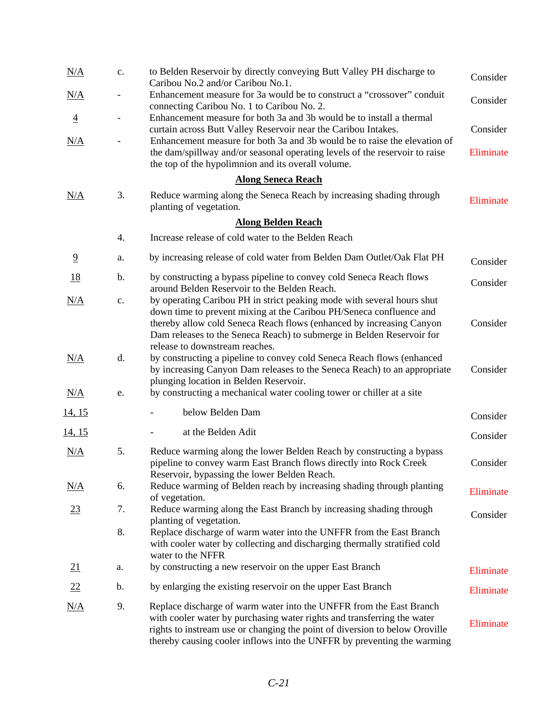| N/A            | c.                       | to Belden Reservoir by directly conveying Butt Valley PH discharge to<br>Caribou No.2 and/or Caribou No.1.                                                                                                                                                                                                                       | Consider  |
|----------------|--------------------------|----------------------------------------------------------------------------------------------------------------------------------------------------------------------------------------------------------------------------------------------------------------------------------------------------------------------------------|-----------|
| N/A            | $\qquad \qquad -$        | Enhancement measure for 3a would be to construct a "crossover" conduit<br>connecting Caribou No. 1 to Caribou No. 2.                                                                                                                                                                                                             | Consider  |
| $\overline{4}$ | $\overline{\phantom{a}}$ | Enhancement measure for both 3a and 3b would be to install a thermal<br>curtain across Butt Valley Reservoir near the Caribou Intakes.                                                                                                                                                                                           | Consider  |
| N/A            |                          | Enhancement measure for both 3a and 3b would be to raise the elevation of<br>the dam/spillway and/or seasonal operating levels of the reservoir to raise<br>the top of the hypolimnion and its overall volume.                                                                                                                   | Eliminate |
|                |                          | <b>Along Seneca Reach</b>                                                                                                                                                                                                                                                                                                        |           |
| N/A            | 3.                       | Reduce warming along the Seneca Reach by increasing shading through<br>planting of vegetation.                                                                                                                                                                                                                                   | Eliminate |
|                |                          | <b>Along Belden Reach</b>                                                                                                                                                                                                                                                                                                        |           |
|                | 4.                       | Increase release of cold water to the Belden Reach                                                                                                                                                                                                                                                                               |           |
| $\overline{9}$ | a.                       | by increasing release of cold water from Belden Dam Outlet/Oak Flat PH                                                                                                                                                                                                                                                           | Consider  |
| <u>18</u>      | $\mathbf b$ .            | by constructing a bypass pipeline to convey cold Seneca Reach flows<br>around Belden Reservoir to the Belden Reach.                                                                                                                                                                                                              | Consider  |
| N/A            | c.                       | by operating Caribou PH in strict peaking mode with several hours shut<br>down time to prevent mixing at the Caribou PH/Seneca confluence and<br>thereby allow cold Seneca Reach flows (enhanced by increasing Canyon<br>Dam releases to the Seneca Reach) to submerge in Belden Reservoir for<br>release to downstream reaches. | Consider  |
| N/A            | d.                       | by constructing a pipeline to convey cold Seneca Reach flows (enhanced<br>by increasing Canyon Dam releases to the Seneca Reach) to an appropriate<br>plunging location in Belden Reservoir.                                                                                                                                     | Consider  |
| N/A            | e.                       | by constructing a mechanical water cooling tower or chiller at a site                                                                                                                                                                                                                                                            |           |
| <u>14, 15</u>  |                          | below Belden Dam                                                                                                                                                                                                                                                                                                                 | Consider  |
| <u>14, 15</u>  |                          | at the Belden Adit                                                                                                                                                                                                                                                                                                               | Consider  |
| N/A            | 5.                       | Reduce warming along the lower Belden Reach by constructing a bypass<br>pipeline to convey warm East Branch flows directly into Rock Creek<br>Reservoir, bypassing the lower Belden Reach.                                                                                                                                       | Consider  |
| N/A            | 6.                       | Reduce warming of Belden reach by increasing shading through planting<br>of vegetation.                                                                                                                                                                                                                                          | Eliminate |
| <u>23</u>      | 7.                       | Reduce warming along the East Branch by increasing shading through<br>planting of vegetation.                                                                                                                                                                                                                                    | Consider  |
|                | 8.                       | Replace discharge of warm water into the UNFFR from the East Branch<br>with cooler water by collecting and discharging thermally stratified cold<br>water to the NFFR                                                                                                                                                            |           |
| 21             | a.                       | by constructing a new reservoir on the upper East Branch                                                                                                                                                                                                                                                                         | Eliminate |
| 22             | b.                       | by enlarging the existing reservoir on the upper East Branch                                                                                                                                                                                                                                                                     | Eliminate |
| N/A            | 9.                       | Replace discharge of warm water into the UNFFR from the East Branch<br>with cooler water by purchasing water rights and transferring the water<br>rights to instream use or changing the point of diversion to below Oroville<br>thereby causing cooler inflows into the UNFFR by preventing the warming                         | Eliminate |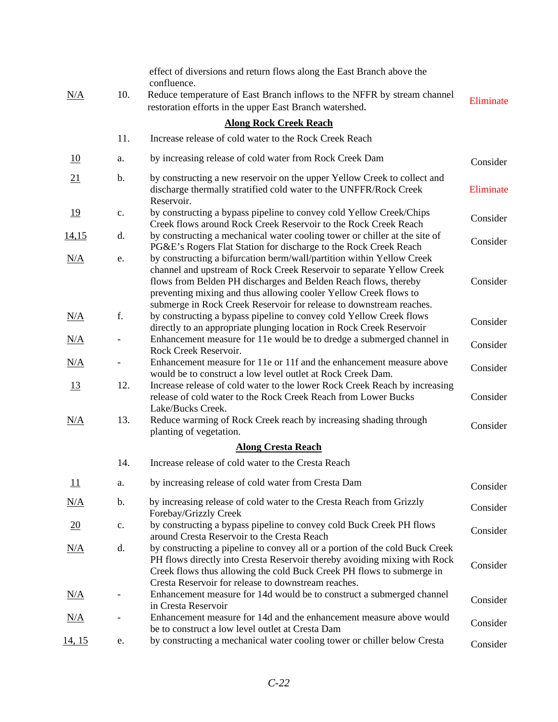|                  | 10.                      | effect of diversions and return flows along the East Branch above the<br>confluence.                                                                                                                                                                                                                                                                         |           |
|------------------|--------------------------|--------------------------------------------------------------------------------------------------------------------------------------------------------------------------------------------------------------------------------------------------------------------------------------------------------------------------------------------------------------|-----------|
| N/A              |                          | Reduce temperature of East Branch inflows to the NFFR by stream channel<br>restoration efforts in the upper East Branch watershed.                                                                                                                                                                                                                           | Eliminate |
|                  |                          | <b>Along Rock Creek Reach</b>                                                                                                                                                                                                                                                                                                                                |           |
|                  | 11.                      | Increase release of cold water to the Rock Creek Reach                                                                                                                                                                                                                                                                                                       |           |
| 10               | a.                       | by increasing release of cold water from Rock Creek Dam                                                                                                                                                                                                                                                                                                      | Consider  |
| 21               | $\mathbf b$ .            | by constructing a new reservoir on the upper Yellow Creek to collect and<br>discharge thermally stratified cold water to the UNFFR/Rock Creek<br>Reservoir.                                                                                                                                                                                                  | Eliminate |
| <u> 19</u>       | $\mathbf{c}.$            | by constructing a bypass pipeline to convey cold Yellow Creek/Chips<br>Creek flows around Rock Creek Reservoir to the Rock Creek Reach                                                                                                                                                                                                                       | Consider  |
| <u>14,15</u>     | d.                       | by constructing a mechanical water cooling tower or chiller at the site of<br>PG&E's Rogers Flat Station for discharge to the Rock Creek Reach                                                                                                                                                                                                               | Consider  |
| N/A              | e.                       | by constructing a bifurcation berm/wall/partition within Yellow Creek<br>channel and upstream of Rock Creek Reservoir to separate Yellow Creek<br>flows from Belden PH discharges and Belden Reach flows, thereby<br>preventing mixing and thus allowing cooler Yellow Creek flows to<br>submerge in Rock Creek Reservoir for release to downstream reaches. | Consider  |
| N/A              | f.                       | by constructing a bypass pipeline to convey cold Yellow Creek flows<br>directly to an appropriate plunging location in Rock Creek Reservoir                                                                                                                                                                                                                  | Consider  |
| <u>N/A</u>       | $\overline{\phantom{a}}$ | Enhancement measure for 11e would be to dredge a submerged channel in<br>Rock Creek Reservoir.                                                                                                                                                                                                                                                               | Consider  |
| N/A              |                          | Enhancement measure for 11e or 11f and the enhancement measure above<br>would be to construct a low level outlet at Rock Creek Dam.                                                                                                                                                                                                                          | Consider  |
| 13               | 12.                      | Increase release of cold water to the lower Rock Creek Reach by increasing<br>release of cold water to the Rock Creek Reach from Lower Bucks<br>Lake/Bucks Creek.                                                                                                                                                                                            | Consider  |
| N/A              | 13.                      | Reduce warming of Rock Creek reach by increasing shading through<br>planting of vegetation.                                                                                                                                                                                                                                                                  | Consider  |
|                  |                          | <b>Along Cresta Reach</b>                                                                                                                                                                                                                                                                                                                                    |           |
|                  | 14.                      | Increase release of cold water to the Cresta Reach                                                                                                                                                                                                                                                                                                           |           |
| $\overline{11}$  | a.                       | by increasing release of cold water from Cresta Dam                                                                                                                                                                                                                                                                                                          | Consider  |
| N/A              | b.                       | by increasing release of cold water to the Cresta Reach from Grizzly<br>Forebay/Grizzly Creek                                                                                                                                                                                                                                                                | Consider  |
| $\underline{20}$ | c.                       | by constructing a bypass pipeline to convey cold Buck Creek PH flows<br>around Cresta Reservoir to the Cresta Reach                                                                                                                                                                                                                                          | Consider  |
| N/A              | d.                       | by constructing a pipeline to convey all or a portion of the cold Buck Creek<br>PH flows directly into Cresta Reservoir thereby avoiding mixing with Rock<br>Creek flows thus allowing the cold Buck Creek PH flows to submerge in<br>Cresta Reservoir for release to downstream reaches.                                                                    | Consider  |
| <u>N/A</u>       |                          | Enhancement measure for 14d would be to construct a submerged channel<br>in Cresta Reservoir                                                                                                                                                                                                                                                                 | Consider  |
| <u>N/A</u>       |                          | Enhancement measure for 14d and the enhancement measure above would<br>be to construct a low level outlet at Cresta Dam                                                                                                                                                                                                                                      | Consider  |
| <u>14, 15</u>    | e.                       | by constructing a mechanical water cooling tower or chiller below Cresta                                                                                                                                                                                                                                                                                     | Consider  |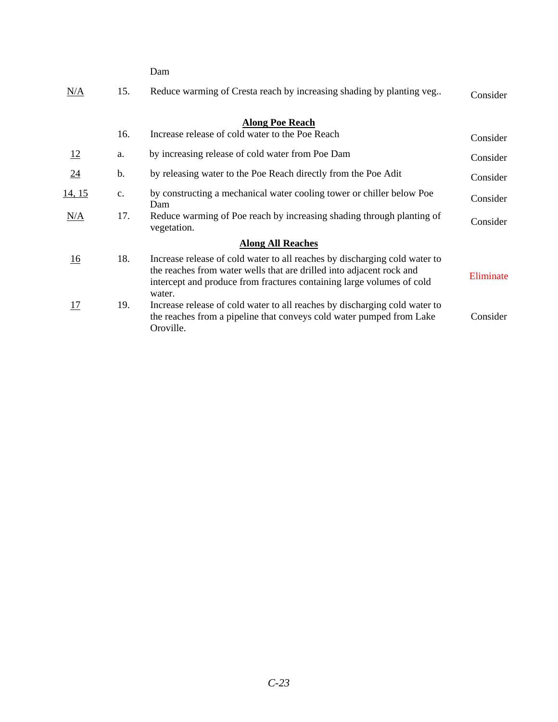|               |               | Dam                                                                                                                                                                                                                                   |           |
|---------------|---------------|---------------------------------------------------------------------------------------------------------------------------------------------------------------------------------------------------------------------------------------|-----------|
| N/A           | 15.           | Reduce warming of Cresta reach by increasing shading by planting veg                                                                                                                                                                  | Consider  |
|               |               | <b>Along Poe Reach</b>                                                                                                                                                                                                                |           |
|               | 16.           | Increase release of cold water to the Poe Reach                                                                                                                                                                                       | Consider  |
| 12            | a.            | by increasing release of cold water from Poe Dam                                                                                                                                                                                      | Consider  |
| 24            | $\mathbf b$ . | by releasing water to the Poe Reach directly from the Poe Adit                                                                                                                                                                        | Consider  |
| <u>14, 15</u> | c.            | by constructing a mechanical water cooling tower or chiller below Poe<br>Dam                                                                                                                                                          | Consider  |
| N/A           | 17.           | Reduce warming of Poe reach by increasing shading through planting of<br>vegetation.                                                                                                                                                  | Consider  |
|               |               | <b>Along All Reaches</b>                                                                                                                                                                                                              |           |
| 16            | 18.           | Increase release of cold water to all reaches by discharging cold water to<br>the reaches from water wells that are drilled into adjacent rock and<br>intercept and produce from fractures containing large volumes of cold<br>water. | Eliminate |
| <u>17</u>     | 19.           | Increase release of cold water to all reaches by discharging cold water to<br>the reaches from a pipeline that conveys cold water pumped from Lake<br>Oroville.                                                                       | Consider  |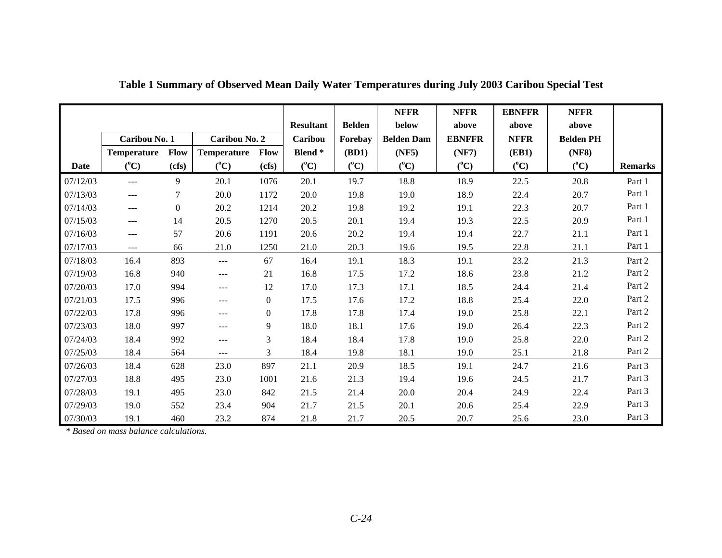|          |                    |                |                    |                  |                  |               | <b>NFFR</b>       | <b>NFFR</b>   | <b>EBNFFR</b> | <b>NFFR</b>      |                |
|----------|--------------------|----------------|--------------------|------------------|------------------|---------------|-------------------|---------------|---------------|------------------|----------------|
|          |                    |                |                    |                  | <b>Resultant</b> | <b>Belden</b> | below             | above         | above         | above            |                |
|          | Caribou No. 1      |                | Caribou No. 2      |                  | Caribou          | Forebay       | <b>Belden Dam</b> | <b>EBNFFR</b> | <b>NFFR</b>   | <b>Belden PH</b> |                |
|          | <b>Temperature</b> | Flow           | <b>Temperature</b> | <b>Flow</b>      | <b>Blend</b> *   | (BD1)         | (NF5)             | (NF7)         | <b>(EB1)</b>  | (NF8)            |                |
| Date     | $(^{\circ}C)$      | (cfs)          | $(^{\circ}C)$      | (cfs)            | $(^{\circ}C)$    | $(^{\circ}C)$ | $(^{\circ}C)$     | $(^{\circ}C)$ | $(^{\circ}C)$ | $(^{\circ}C)$    | <b>Remarks</b> |
| 07/12/03 | $---$              | 9              | 20.1               | 1076             | 20.1             | 19.7          | 18.8              | 18.9          | 22.5          | 20.8             | Part 1         |
| 07/13/03 | $---$              | 7              | 20.0               | 1172             | 20.0             | 19.8          | 19.0              | 18.9          | 22.4          | 20.7             | Part 1         |
| 07/14/03 | $\cdots$           | $\overline{0}$ | 20.2               | 1214             | 20.2             | 19.8          | 19.2              | 19.1          | 22.3          | 20.7             | Part 1         |
| 07/15/03 | $---$              | 14             | 20.5               | 1270             | 20.5             | 20.1          | 19.4              | 19.3          | 22.5          | 20.9             | Part 1         |
| 07/16/03 | $---$              | 57             | 20.6               | 1191             | 20.6             | 20.2          | 19.4              | 19.4          | 22.7          | 21.1             | Part 1         |
| 07/17/03 | $---$              | 66             | 21.0               | 1250             | 21.0             | 20.3          | 19.6              | 19.5          | 22.8          | 21.1             | Part 1         |
| 07/18/03 | 16.4               | 893            | $---$              | 67               | 16.4             | 19.1          | 18.3              | 19.1          | 23.2          | 21.3             | Part 2         |
| 07/19/03 | 16.8               | 940            | $---$              | 21               | 16.8             | 17.5          | 17.2              | 18.6          | 23.8          | 21.2             | Part 2         |
| 07/20/03 | 17.0               | 994            | $---$              | 12               | 17.0             | 17.3          | 17.1              | 18.5          | 24.4          | 21.4             | Part 2         |
| 07/21/03 | 17.5               | 996            | $---$              | $\boldsymbol{0}$ | 17.5             | 17.6          | 17.2              | 18.8          | 25.4          | 22.0             | Part 2         |
| 07/22/03 | 17.8               | 996            | $---$              | $\overline{0}$   | 17.8             | 17.8          | 17.4              | 19.0          | 25.8          | 22.1             | Part 2         |
| 07/23/03 | 18.0               | 997            | $---$              | 9                | 18.0             | 18.1          | 17.6              | 19.0          | 26.4          | 22.3             | Part 2         |
| 07/24/03 | 18.4               | 992            | $---$              | 3                | 18.4             | 18.4          | 17.8              | 19.0          | 25.8          | 22.0             | Part 2         |
| 07/25/03 | 18.4               | 564            | $---$              | 3                | 18.4             | 19.8          | 18.1              | 19.0          | 25.1          | 21.8             | Part 2         |
| 07/26/03 | 18.4               | 628            | 23.0               | 897              | 21.1             | 20.9          | 18.5              | 19.1          | 24.7          | 21.6             | Part 3         |
| 07/27/03 | 18.8               | 495            | 23.0               | 1001             | 21.6             | 21.3          | 19.4              | 19.6          | 24.5          | 21.7             | Part 3         |
| 07/28/03 | 19.1               | 495            | 23.0               | 842              | 21.5             | 21.4          | 20.0              | 20.4          | 24.9          | 22.4             | Part 3         |
| 07/29/03 | 19.0               | 552            | 23.4               | 904              | 21.7             | 21.5          | 20.1              | 20.6          | 25.4          | 22.9             | Part 3         |
| 07/30/03 | 19.1               | 460            | 23.2               | 874              | 21.8             | 21.7          | 20.5              | 20.7          | 25.6          | 23.0             | Part 3         |

**Table 1 Summary of Observed Mean Daily Water Temperatures during July 2003 Caribou Special Test** 

*\* Based on mass balance calculations.*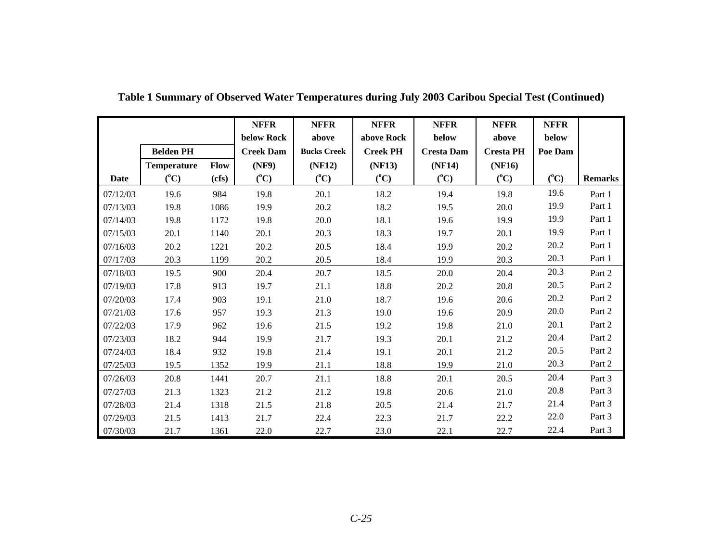|          |                    |             | <b>NFFR</b>      | <b>NFFR</b>        | <b>NFFR</b>     | <b>NFFR</b>       | <b>NFFR</b>      | <b>NFFR</b> |                |
|----------|--------------------|-------------|------------------|--------------------|-----------------|-------------------|------------------|-------------|----------------|
|          |                    |             | below Rock       | above              | above Rock      | below             | above            | below       |                |
|          | <b>Belden PH</b>   |             | <b>Creek Dam</b> | <b>Bucks Creek</b> | <b>Creek PH</b> | <b>Cresta Dam</b> | <b>Cresta PH</b> | Poe Dam     |                |
|          | <b>Temperature</b> | <b>Flow</b> | (NF9)            | (NF12)             | (NF13)          | (NF14)            | (NF16)           |             |                |
| Date     | $(^{\circ}C)$      | (cfs)       | $(^{\circ}C)$    | $(^{\circ}C)$      | $(^{\circ}C)$   | $(^{\circ}C)$     | $(^{\circ}C)$    | $({}^0C)$   | <b>Remarks</b> |
| 07/12/03 | 19.6               | 984         | 19.8             | 20.1               | 18.2            | 19.4              | 19.8             | 19.6        | Part 1         |
| 07/13/03 | 19.8               | 1086        | 19.9             | 20.2               | 18.2            | 19.5              | 20.0             | 19.9        | Part 1         |
| 07/14/03 | 19.8               | 1172        | 19.8             | 20.0               | 18.1            | 19.6              | 19.9             | 19.9        | Part 1         |
| 07/15/03 | 20.1               | 1140        | 20.1             | 20.3               | 18.3            | 19.7              | 20.1             | 19.9        | Part 1         |
| 07/16/03 | 20.2               | 1221        | 20.2             | 20.5               | 18.4            | 19.9              | 20.2             | 20.2        | Part 1         |
| 07/17/03 | 20.3               | 1199        | 20.2             | 20.5               | 18.4            | 19.9              | 20.3             | 20.3        | Part 1         |
| 07/18/03 | 19.5               | 900         | 20.4             | 20.7               | 18.5            | 20.0              | 20.4             | 20.3        | Part 2         |
| 07/19/03 | 17.8               | 913         | 19.7             | 21.1               | 18.8            | 20.2              | 20.8             | 20.5        | Part 2         |
| 07/20/03 | 17.4               | 903         | 19.1             | 21.0               | 18.7            | 19.6              | 20.6             | 20.2        | Part 2         |
| 07/21/03 | 17.6               | 957         | 19.3             | 21.3               | 19.0            | 19.6              | 20.9             | 20.0        | Part 2         |
| 07/22/03 | 17.9               | 962         | 19.6             | 21.5               | 19.2            | 19.8              | 21.0             | 20.1        | Part 2         |
| 07/23/03 | 18.2               | 944         | 19.9             | 21.7               | 19.3            | 20.1              | 21.2             | 20.4        | Part 2         |
| 07/24/03 | 18.4               | 932         | 19.8             | 21.4               | 19.1            | 20.1              | 21.2             | 20.5        | Part 2         |
| 07/25/03 | 19.5               | 1352        | 19.9             | 21.1               | 18.8            | 19.9              | 21.0             | 20.3        | Part 2         |
| 07/26/03 | 20.8               | 1441        | 20.7             | 21.1               | 18.8            | 20.1              | 20.5             | 20.4        | Part 3         |
| 07/27/03 | 21.3               | 1323        | 21.2             | 21.2               | 19.8            | 20.6              | 21.0             | 20.8        | Part 3         |
| 07/28/03 | 21.4               | 1318        | 21.5             | 21.8               | 20.5            | 21.4              | 21.7             | 21.4        | Part 3         |
| 07/29/03 | 21.5               | 1413        | 21.7             | 22.4               | 22.3            | 21.7              | 22.2             | 22.0        | Part 3         |
| 07/30/03 | 21.7               | 1361        | 22.0             | 22.7               | 23.0            | 22.1              | 22.7             | 22.4        | Part 3         |

**Table 1 Summary of Observed Water Temperatures during July 2003 Caribou Special Test (Continued)**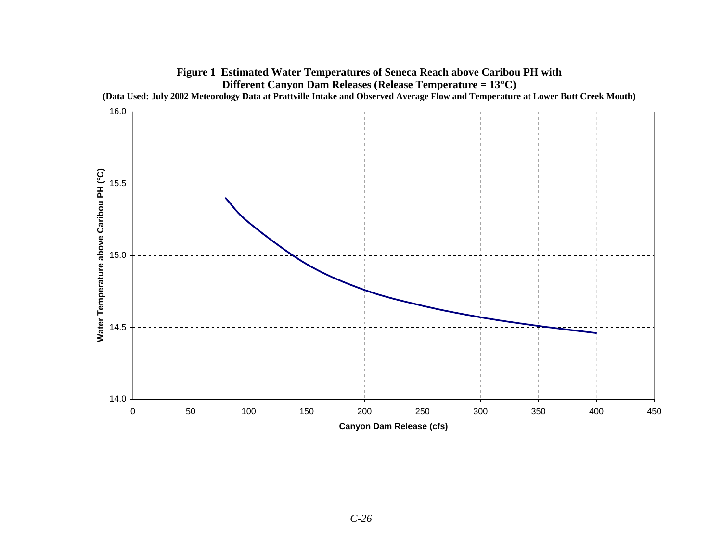

# *C-26*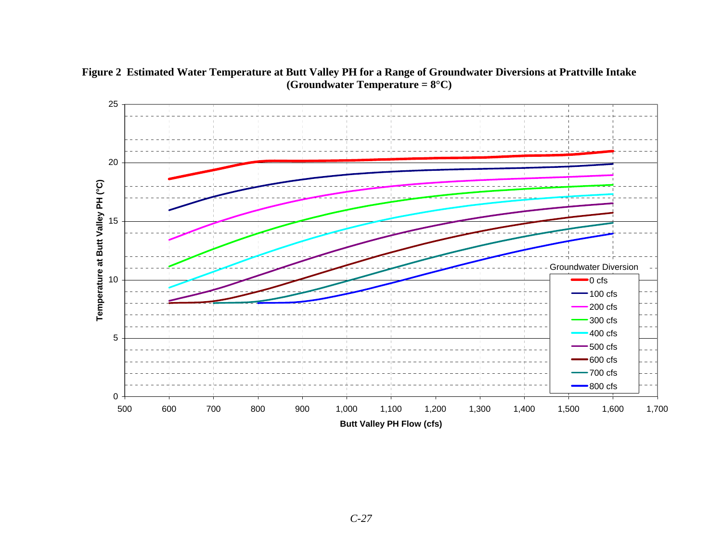

**Figure 2 Estimated Water Temperature at Butt Valley PH for a Range of Groundwater Diversions at Prattville Intake (Groundwater Temperature = 8°C)**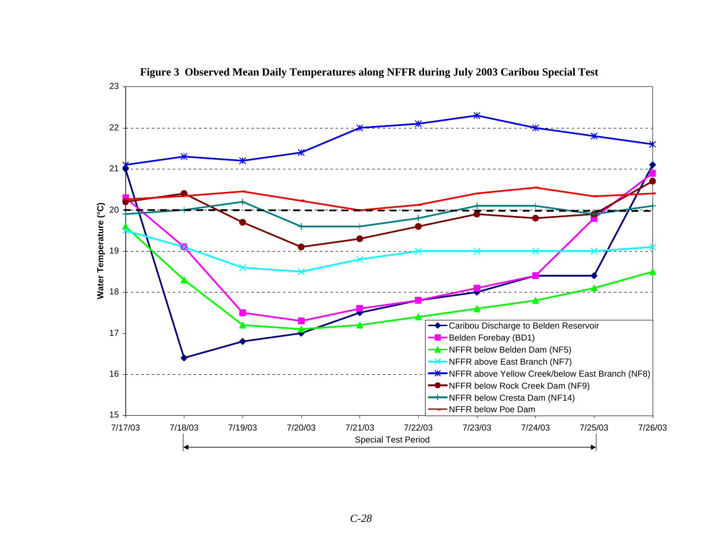

**Figure 3 Observed Mean Daily Temperatures along NFFR during July 2003 Caribou Special Test**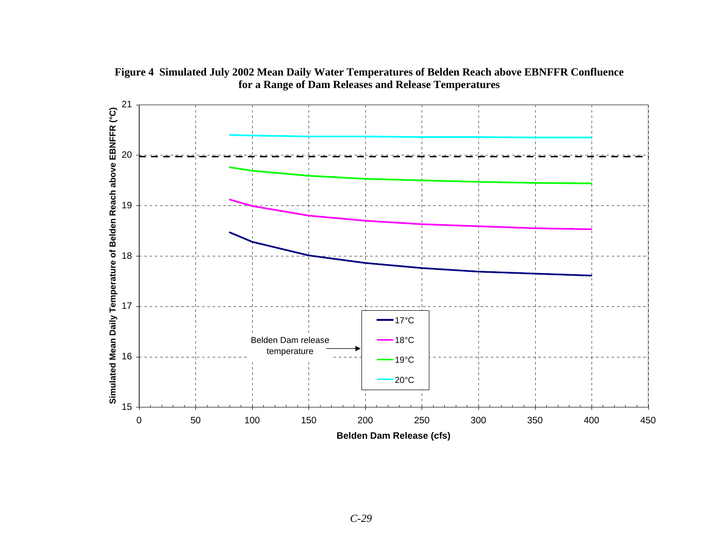

**Figure 4 Simulated July 2002 Mean Daily Water Temperatures of Belden Reach above EBNFFR Confluence for a Range of Dam Releases and Release Temperatures**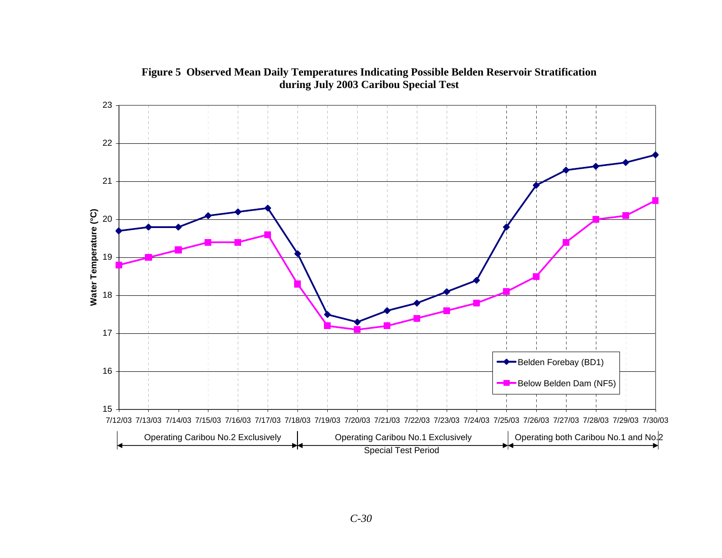

### **Figure 5 Observed Mean Daily Temperatures Indicating Possible Belden Reservoir Stratification during July 2003 Caribou Special Test**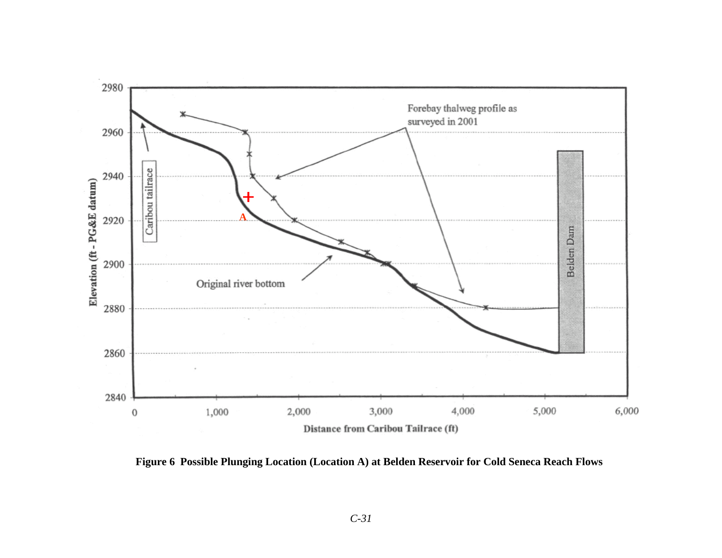

**Figure 6 Possible Plunging Location (Location A) at Belden Reservoir for Cold Seneca Reach Flows**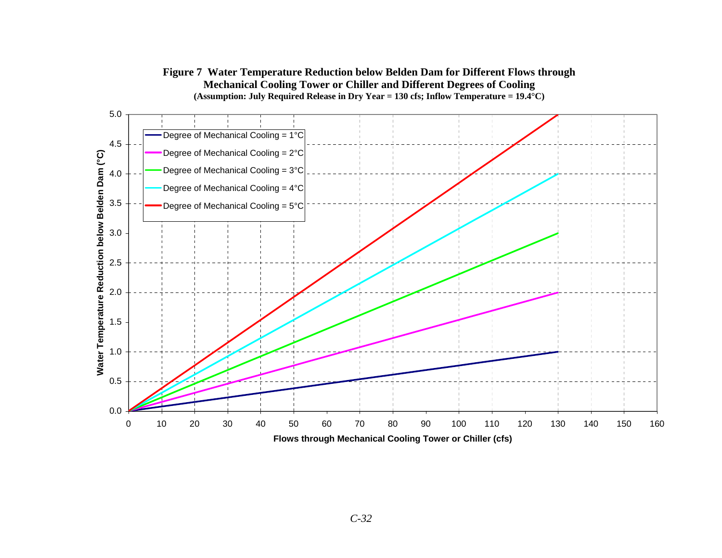

#### **Figure 7 Water Temperature Reduction below Belden Dam for Different Flows through Mechanical Cooling Tower or Chiller and Different Degrees of Cooling (Assumption: July Required Release in Dry Year = 130 cfs; Inflow Temperature = 19.4°C)**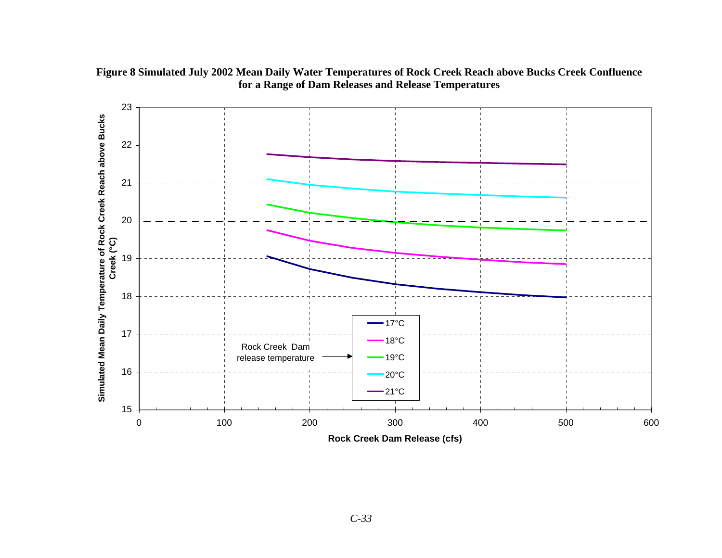

**Figure 8 Simulated July 2002 Mean Daily Water Temperatures of Rock Creek Reach above Bucks Creek Confluence for a Range of Dam Releases and Release Temperatures**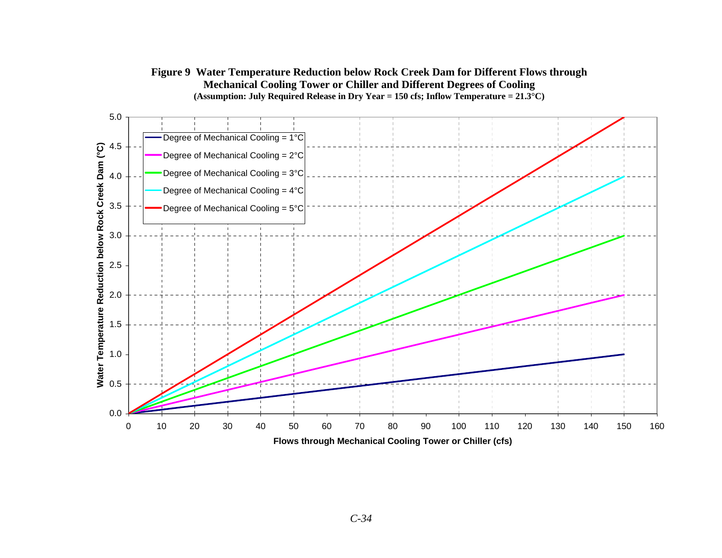#### **Figure 9 Water Temperature Reduction below Rock Creek Dam for Different Flows through Mechanical Cooling Tower or Chiller and Different Degrees of Cooling (Assumption: July Required Release in Dry Year = 150 cfs; Inflow Temperature = 21.3°C)**

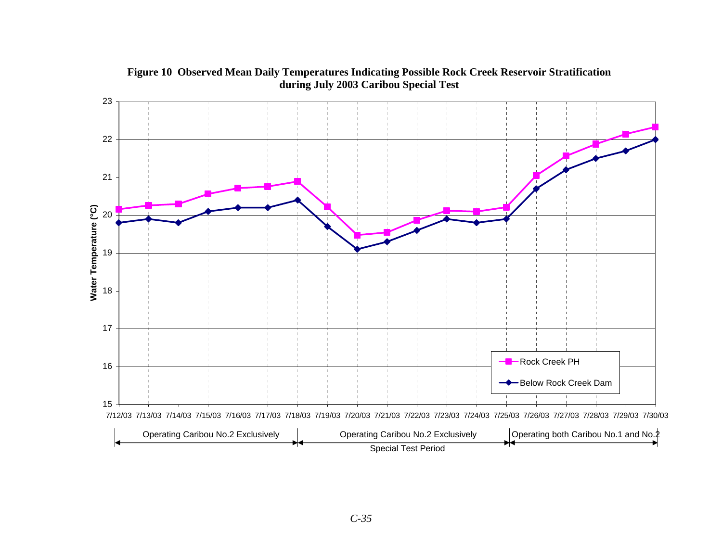

**Figure 10 Observed Mean Daily Temperatures Indicating Possible Rock Creek Reservoir Stratification during July 2003 Caribou Special Test**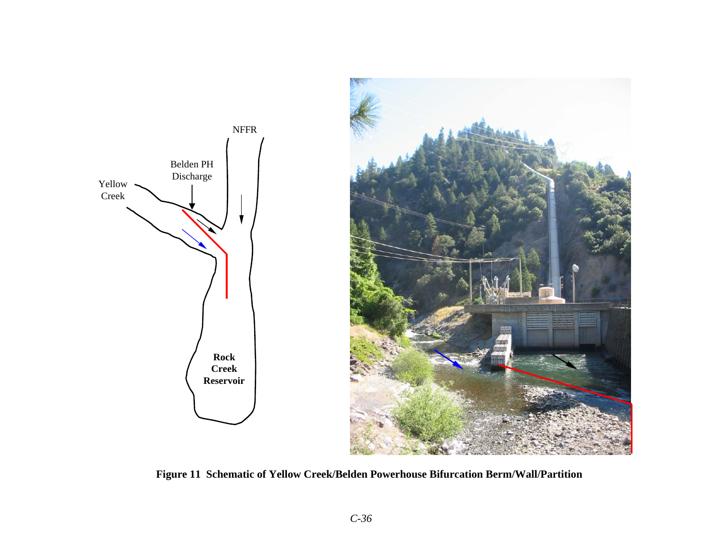

**Figure 11 Schematic of Yellow Creek/Belden Powerhouse Bifurcation Berm/Wall/Partition**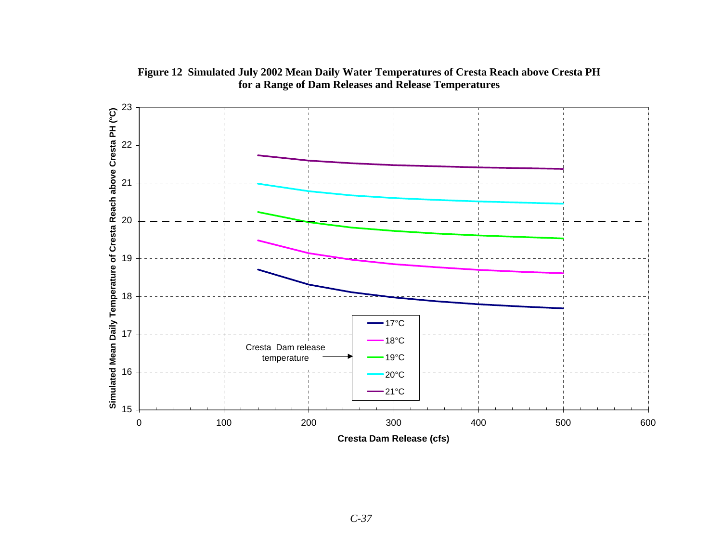

**Figure 12 Simulated July 2002 Mean Daily Water Temperatures of Cresta Reach above Cresta PH for a Range of Dam Releases and Release Temperatures**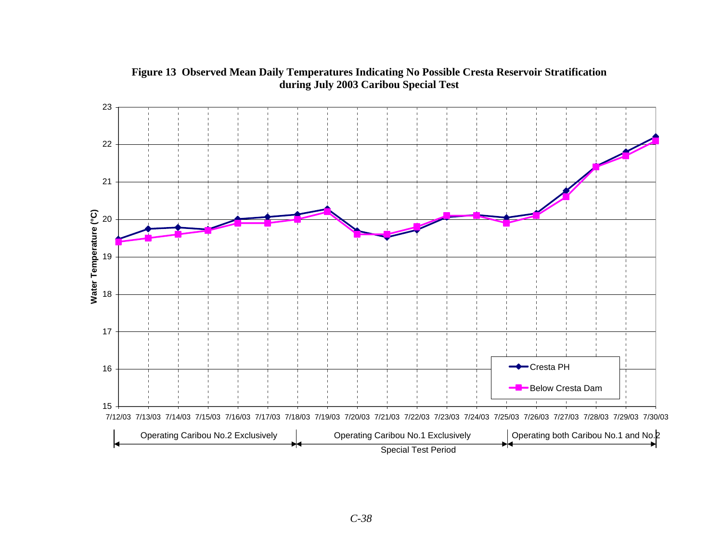

**Figure 13 Observed Mean Daily Temperatures Indicating No Possible Cresta Reservoir Stratification during July 2003 Caribou Special Test**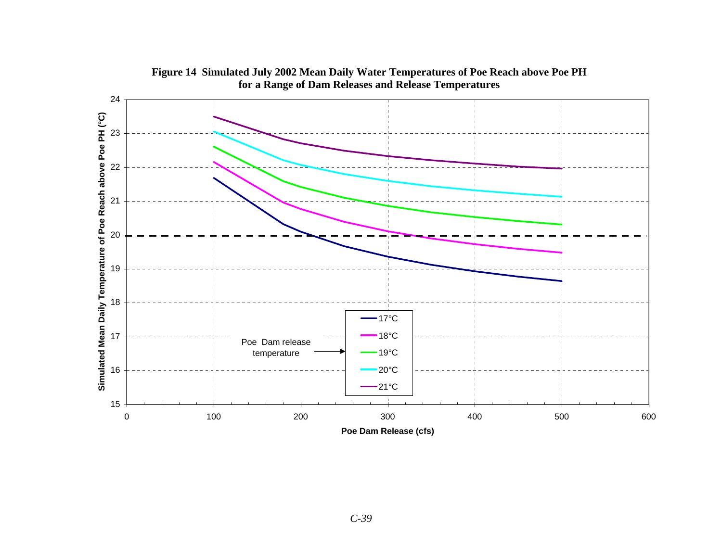

**Figure 14 Simulated July 2002 Mean Daily Water Temperatures of Poe Reach above Poe PH for a Range of Dam Releases and Release Temperatures**